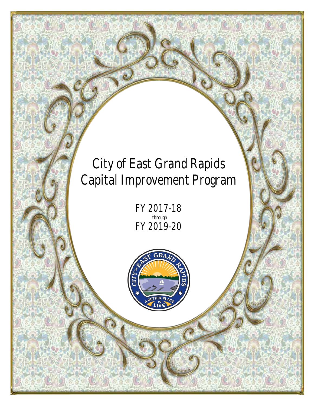*FY 2017-18 through FY 2019-20*

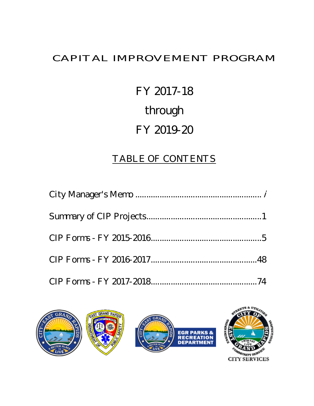#### CAPITAL IMPROVEMENT PROGRAM

# FY 20178 through FY 201220

#### TABLE OF CONTENTS

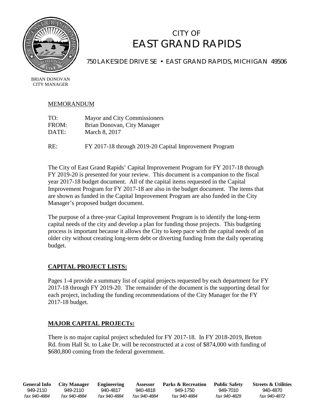

#### CITY OF EAST GRAND RAPIDS

750 LAKESIDE DRIVE SE · EAST GRAND RAPIDS, MICHIGAN 49506

BRIAN DONOVAN CITY MANAGER

#### MEMORANDUM

| TO:   | Mayor and City Commissioners |
|-------|------------------------------|
| FROM: | Brian Donovan, City Manager  |
| DATE: | March 8, 2017                |
|       |                              |

RE: FY 2017-18 through 2019-20 Capital Improvement Program

The City of East Grand Rapids' Capital Improvement Program for FY 2017-18 through FY 2019-20 is presented for your review. This document is a companion to the fiscal year 2017-18 budget document. All of the capital items requested in the Capital Improvement Program for FY 2017-18 are also in the budget document. The items that are shown as funded in the Capital Improvement Program are also funded in the City Manager's proposed budget document.

The purpose of a three-year Capital Improvement Program is to identify the long-term capital needs of the city and develop a plan for funding those projects. This budgeting process is important because it allows the City to keep pace with the capital needs of an older city without creating long-term debt or diverting funding from the daily operating budget.

#### **CAPITAL PROJECT LISTS:**

Pages 1-4 provide a summary list of capital projects requested by each department for FY 2017-18 through FY 2019-20. The remainder of the document is the supporting detail for each project, including the funding recommendations of the City Manager for the FY 2017-18 budget.

#### **MAJOR CAPITAL PROJECTs:**

There is no major capital project scheduled for FY 2017-18. In FY 2018-2019, Breton Rd. from Hall St. to Lake Dr. will be reconstructed at a cost of \$874,000 with funding of \$680,800 coming from the federal government.

**General Info City Manager Engineering Assessor Parks & Recreation Public Safety Streets & Utilities** 949-2110 949-2110 940-4817 940-4818 949-1750 949-7010 940-4870 *fax 940-4884 fax 940-4884 fax 940-4884 fax 940-4884 fax 940-4884 fax 940-4829 fax 940-4872*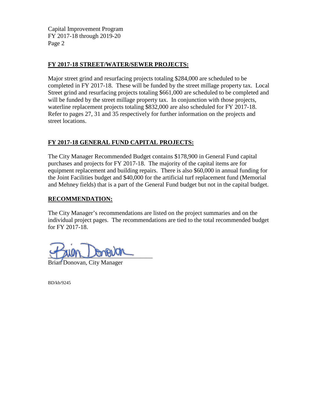Capital Improvement Program FY 2017-18 through 2019-20 Page 2

#### **FY 2017-18 STREET/WATER/SEWER PROJECTS:**

Major street grind and resurfacing projects totaling \$284,000 are scheduled to be completed in FY 2017-18. These will be funded by the street millage property tax. Local Street grind and resurfacing projects totaling \$661,000 are scheduled to be completed and will be funded by the street millage property tax. In conjunction with those projects, waterline replacement projects totaling \$832,000 are also scheduled for FY 2017-18. Refer to pages 27, 31 and 35 respectively for further information on the projects and street locations.

#### **FY 2017-18 GENERAL FUND CAPITAL PROJECTS:**

The City Manager Recommended Budget contains \$178,900 in General Fund capital purchases and projects for FY 2017-18. The majority of the capital items are for equipment replacement and building repairs. There is also \$60,000 in annual funding for the Joint Facilities budget and \$40,000 for the artificial turf replacement fund (Memorial and Mehney fields) that is a part of the General Fund budget but not in the capital budget.

#### **RECOMMENDATION:**

The City Manager's recommendations are listed on the project summaries and on the individual project pages. The recommendations are tied to the total recommended budget for FY 2017-18.

 $\sim$  and  $\sim$  and  $\sim$ 

Brian Donovan, City Manager

BD/kb/9245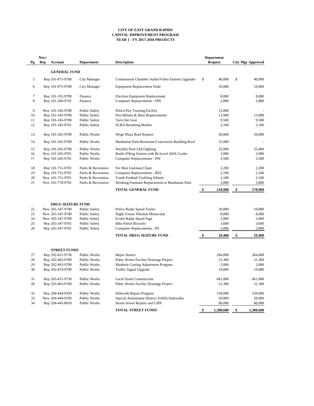|           | New/ |                          |                      |                                                  |               | <b>Department</b> |                          |
|-----------|------|--------------------------|----------------------|--------------------------------------------------|---------------|-------------------|--------------------------|
| <b>Pg</b> | Rep  | <b>Account</b>           | <b>Department</b>    | <b>Description</b>                               |               | <b>Request</b>    | <b>City Mgr Approved</b> |
|           |      | <b>GENERAL FUND</b>      |                      |                                                  |               |                   |                          |
| 5         |      | Rep 101-875-9700         | <b>City Manager</b>  | Commission Chamber Audio/Video System Upgrades   | \$            | 40,000            | \$<br>40,000             |
| 6         |      | Rep 101-875-9700         | <b>City Manager</b>  | <b>Equipment Replacement Fund</b>                |               | 10,000            | 10,000                   |
| 7         |      | Rep 101-192-9700         | Finance              | <b>Election Equipment Replacement</b>            |               | 8,000             | 8,000                    |
| 8         |      | Rep 101-260-9701         | Finance              | <b>Computer Replacements - FIN</b>               |               | 2,800             | 2,800                    |
| 9         |      | New 101-345-9700         | <b>Public Safety</b> | Police/Fire Training Facility                    |               | 15,000            |                          |
| 10        |      | Rep 101-345-9700         | <b>Public Safety</b> | Fire Helmet & Boot Replacements                  |               | 13,900            | 13,900                   |
| 11        |      | Rep 101-345-9700         | <b>Public Safety</b> | Turn Out Gear                                    |               | 9,500             | 9,500                    |
| 12        |      | Rep 101-345-9701         | <b>Public Safety</b> | <b>SCBA Breathing Bottles</b>                    |               | 2,100             | 2,100                    |
| 13        |      | Rep 101-265-9700         | Public Works         | Wege Plaza Roof Repairs                          |               | 50,000            | 50,000                   |
| 14        |      | Rep 101-265-9700         | Public Works         | Manhattan Park-Restroom-Concession Building Roof |               | 25,000            |                          |
| 15        |      | Rep 101-265-9700         | Public Works         | Wealthy Pool LED lighting                        |               | 25,000            | 25,000                   |
| 16        |      | New 101-265-9701         | Public Works         | Bottle Filling Station with Bi-Level ADA Cooler  |               | 3,900             | 3,900                    |
| 17        |      | Rep 101-265-9701         | Public Works         | <b>Computer Replacements - PW</b>                |               | 3,500             | 3,500                    |
| 18        |      | Rep 101-751-9701         | Parks & Recreation   | Six Man Lineman Chute                            |               | 2,200             | 2,200                    |
| 19        |      | Rep 101-751-9701         | Parks & Recreation   | <b>Computer Replacements - REC</b>               |               | 2,100             | 2,100                    |
| 20        |      | New 101-751-9701         | Parks & Recreation   | Youth Football Tackling Wheels                   |               | 2,100             | 2,100                    |
| 21        |      | New 101-778-9701         | Parks & Recreation   | Drinking Fountain Replacement at Manhattan Park  |               | 3,800             | 3,800                    |
|           |      |                          |                      | <b>TOTAL GENERAL FUND</b>                        |               | 218,900           | 178,900                  |
|           |      | <b>DRUG SEIZURE FUND</b> |                      |                                                  |               |                   |                          |
| 22        |      | New 265-347-9700         | <b>Public Safety</b> | Police Radar Speed Trailer                       |               | 10,000            | 10,000                   |
| 23        |      | New 265-347-9700         | <b>Public Safety</b> | Night Vision Thermal Monocular                   |               | 8,000             | 8,000                    |
| 24        |      | New 265-347-9700         | <b>Public Safety</b> | Evolis Radar Speed Sign                          |               | 5,000             | 5,000                    |
| 25        |      | Rep 265-347-9701         | <b>Public Safety</b> | <b>Bike Patrol Bicycles</b>                      |               | 3,600             | 3,600                    |
| 26        |      | Rep 265-347-9701         | <b>Public Safety</b> | <b>Computer Replacements - PS</b>                |               | 2,800             | 2,800                    |
|           |      |                          |                      | <b>TOTAL DRUG SEIZURE FUND</b>                   | $\mathbf{\$}$ | 29,400            | \$<br>29,400             |
|           |      |                          |                      |                                                  |               |                   |                          |
|           |      | <b>STREET FUNDS</b>      |                      |                                                  |               |                   |                          |
| 27        |      | Rep 202-451-9730         | Public Works         | <b>Major Streets</b>                             |               | 284,000           | 284,000                  |
| 28        |      | Rep 202-463-9700         | Public Works         | <b>Pubic Works Facility Drainage Project</b>     |               | 31,300            | 31,300                   |
| 29        |      | Rep 202-463-9700         | Public Works         | Manhole Casting Adjustment Program               |               | 2,000             | 2,000                    |
| 30        |      | Rep 202-474-9700         | Public Works         | Traffic Signal Upgrade                           |               | 19,000            | 19,000                   |
| 31        |      | Rep 203-451-9730         | Public Works         | <b>Local Street Construction</b>                 |               | 661,000           | 661,000                  |
| 28        |      | Rep 203-463-9700         | Public Works         | <b>Pubic Works Facility Drainage Project</b>     |               | 31,300            | 31,300                   |
| 32        |      | Rep 204-444-9350         | Public Works         | Sidewalk Repair Program                          |               | 150,000           | 150,000                  |

|    | New 204-444-9350 | Public Works | Special Assessment District (SAD)-Sidewalks |        | 50,000    | 50,000    |
|----|------------------|--------------|---------------------------------------------|--------|-----------|-----------|
| 34 | Rep 204-445-8010 | Public Works | Storm Sewer Repairs and CIPP                | 80,000 |           | 80,000    |
|    |                  |              | <b>TOTAL STREET FUNDS</b>                   |        | 1,308,600 | 1,308,600 |

#### **CITY OF EAST GRAND RAPIDS CAPITAL IMPROVEMENT PROGRAM YEAR 1 - FY 2017-2018 PROJECTS**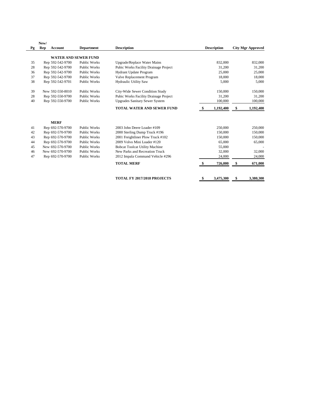| Pg | <b>Rep</b><br><b>Account</b> |                     |                                              |                    |               |                          |
|----|------------------------------|---------------------|----------------------------------------------|--------------------|---------------|--------------------------|
|    |                              | <b>Department</b>   | <b>Description</b>                           | <b>Description</b> |               | <b>City Mgr Approved</b> |
|    | <b>WATER AND SEWER FUND</b>  |                     |                                              |                    |               |                          |
| 35 | Rep 592-542-9700             | <b>Public Works</b> | <b>Upgrade/Replace Water Mains</b>           | 832,000            |               | 832,000                  |
| 28 | Rep 592-542-9700             | Public Works        | <b>Pubic Works Facility Drainage Project</b> | 31,200             |               | 31,200                   |
| 36 | Rep 592-542-9700             | <b>Public Works</b> | <b>Hydrant Update Program</b>                | 25,000             |               | 25,000                   |
| 37 | Rep 592-542-9700             | Public Works        | Valve Replacement Program                    | 18,000             |               | 18,000                   |
| 38 | Rep 592-542-9701             | Public Works        | Hydraulic Utility Saw                        | 5,000              |               | 5,000                    |
| 39 | New 592-550-8010             | <b>Public Works</b> | City-Wide Sewer Condition Study              | 150,000            |               | 150,000                  |
| 28 | Rep 592-550-9700             | <b>Public Works</b> | <b>Pubic Works Facility Drainage Project</b> | 31,200             |               | 31,200                   |
| 40 | Rep 592-550-9700             | Public Works        | <b>Upgrades Sanitary Sewer System</b>        | 100,000            |               | 100,000                  |
|    |                              |                     | <b>TOTAL WATER AND SEWER FUND</b>            | 1,192,400          | $\frac{1}{2}$ | 1,192,400                |
|    | <b>MERF</b>                  |                     |                                              |                    |               |                          |
| 41 | Rep 692-570-9700             | Public Works        | 2003 John Deere Loader #109                  | 250,000            |               | 250,000                  |
| 42 | Rep 692-570-9700             | <b>Public Works</b> | 2000 Sterling Dump Truck #196                | 150,000            |               | 150,000                  |
| 43 | Rep 692-570-9700             | Public Works        | 2001 Freightliner Plow Truck #102            | 150,000            |               | 150,000                  |
| 44 | Rep 692-570-9700             | Public Works        | 2009 Volvo Mini Loader #120                  | 65,000             |               | 65,000                   |
| 45 | New 692-570-9700             | Public Works        | <b>Bobcat Toolcat Utility Machine</b>        | 55,000             |               |                          |
| 46 | New 692-570-9700             | <b>Public Works</b> | <b>New Parks and Recreation Truck</b>        | 32,000             |               | 32,000                   |
| 47 | Rep 692-570-9700             | <b>Public Works</b> | 2012 Impala Command Vehicle #296             | 24,000             |               | 24,000                   |
|    |                              |                     | <b>TOTAL MERF</b>                            | 726,000            | \$            | 671,000                  |
|    |                              |                     | <b>TOTAL FY 2017/2018 PROJECTS</b>           | \$<br>3,475,300    | \$            | 3,380,300                |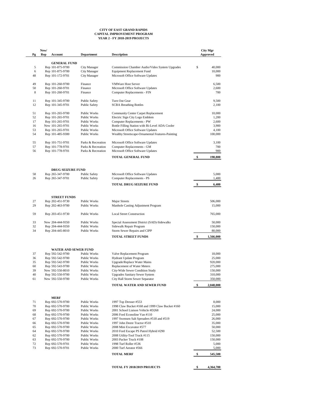|          | New/ |                                      |                                              |                                                                        | <b>City Mgr</b> |
|----------|------|--------------------------------------|----------------------------------------------|------------------------------------------------------------------------|-----------------|
| Pg       | Rep  | <b>Account</b>                       | <b>Department</b>                            | <b>Description</b>                                                     | <b>Approved</b> |
|          |      | <b>GENERAL FUND</b>                  |                                              |                                                                        |                 |
| 5        |      | Rep 101-875-9700                     | City Manager                                 | Commission Chamber Audio/Video System Upgrades                         | \$<br>40,000    |
| 6        |      | Rep 101-875-9700                     | City Manager                                 | <b>Equipment Replacement Fund</b>                                      | 10,000          |
| 48       |      | Rep 101-172-9701                     | City Manager                                 | Microsoft Office Software Updates                                      | 900             |
| 49       |      | Rep 101-260-9700                     | Finance                                      | <b>VMWare Host Server</b>                                              | 6,500           |
| 50       |      | Rep 101-260-9701                     | Finance                                      | Microsoft Office Software Updates                                      | 2,600           |
| 8        |      | Rep 101-260-9701                     | Finance                                      | <b>Computer Replacements - FIN</b>                                     | 700             |
| 11       |      | Rep 101-345-9700                     | <b>Public Safety</b>                         | Turn Out Gear                                                          | 9,500           |
| 12       |      | Rep 101-345-9701                     | <b>Public Safety</b>                         | <b>SCBA Breathing Bottles</b>                                          | 2,100           |
| 51       |      | Rep 101-265-9700                     | Public Works                                 | <b>Community Center Carpet Replacement</b>                             | 10,000          |
| 52       |      | Rep 101-265-9701                     | Public Works                                 | Electric Sign City Logo Emblem                                         | 1,200           |
| 17       |      | Rep 101-265-9701                     | Public Works                                 | <b>Computer Replacements - PW</b>                                      | 2,600           |
| 16       |      | New 101-265-9701                     | Public Works                                 | Bottle Filling Station with Bi-Level ADA Cooler                        | 3,900           |
| 53       |      | Rep 101-265-9701                     | Public Works                                 | Microsoft Office Software Updates                                      | 4,100           |
| 54       |      | Rep 101-485-9300                     | Public Works                                 | Wealthy Streetscape-Ornamental Features-Painting                       | 100,000         |
| 55       |      | Rep 101-751-9701                     | Parks & Recreation                           | Microsoft Office Software Updates                                      | 3,100           |
| 57       |      | Rep 101-778-9701                     | Parks & Recreation                           | <b>Computer Replacements - GM</b>                                      | 700             |
| 56       |      | Rep 101-778-9701                     | Parks & Recreation                           | Microsoft Office Software Updates                                      | 900             |
|          |      |                                      |                                              | <b>TOTAL GENERAL FUND</b>                                              | 198,800         |
|          |      |                                      |                                              |                                                                        |                 |
|          |      | <b>DRUG SEIZURE FUND</b>             |                                              |                                                                        |                 |
| 58<br>26 |      | Rep 265-347-9700<br>Rep 265-347-9701 | <b>Public Safety</b><br><b>Public Safety</b> | Microsoft Office Software Updates<br><b>Computer Replacements - PS</b> | 5,000<br>1,400  |
|          |      |                                      |                                              | <b>TOTAL DRUG SEIZURE FUND</b>                                         | 6,400           |
|          |      |                                      |                                              |                                                                        |                 |
|          |      |                                      |                                              |                                                                        |                 |
|          |      | <b>STREET FUNDS</b>                  |                                              |                                                                        |                 |
| 27       |      | Rep 202-451-9730                     | <b>Public Works</b>                          | <b>Major Streets</b>                                                   | 506,000         |
| 29       |      | Rep 202-463-9700                     | Public Works                                 | Manhole Casting Adjustment Program                                     | 15,000          |
|          |      | Rep 203-451-9730                     | Public Works                                 | <b>Local Street Construction</b>                                       | 765,000         |
| 59<br>33 |      | New 204-444-9350                     | Public Works                                 | Special Assessment District (SAD)-Sidewalks                            | 50,000          |
| 32       |      | Rep 204-444-9350                     | <b>Public Works</b>                          | Sidewalk Repair Program                                                | 150,000         |
| 34       |      | Rep 204-445-8010                     | Public Works                                 | <b>Storm Sewer Repairs and CIPP</b>                                    | 80,000          |

| 37 | Rep 592-542-9700 | Public Works | Valve Replacement Program             | 18,000  |
|----|------------------|--------------|---------------------------------------|---------|
| 36 | Rep 592-542-9700 | Public Works | <b>Hydrant Update Program</b>         | 25,000  |
| 35 | Rep 592-542-9700 | Public Works | Upgrade/Replace Water Mains           | 920,000 |
| 60 | Rep 592-543-9700 | Public Works | <b>Replacement of Water Meters</b>    | 275,000 |
| 39 | New 592-550-8010 | Public Works | City-Wide Sewer Condition Study       | 150,000 |
| 40 | Rep 592-550-9700 | Public Works | <b>Upgrades Sanitary Sewer System</b> | 310,000 |
| 61 | New 592-550-9700 | Public Works | City Hall Storm Sewer Separator       | 350,000 |
|    |                  |              |                                       |         |

#### **TOTAL WATER AND SEWER FUND**  $\frac{\$}{\$}$  **2,048,000**

#### **MERF**

|    |                  |              | <b>TOTAL MERF</b>                               | 545,500 |
|----|------------------|--------------|-------------------------------------------------|---------|
| 73 | Rep 692-570-9701 | Public Works | 2000 Turf Aerator #566                          | 5,000   |
| 72 | Rep 692-570-9701 | Public Works | 1998 Turf Roller #536                           | 5,000   |
| 63 | Rep 692-570-9700 | Public Works | 2003 Packer Truck #108                          | 150,000 |
| 62 | Rep 692-570-9700 | Public Works | 2008 Utility-Tool Truck #115                    | 150,000 |
| 64 | Rep 692-570-9700 | Public Works | 2010 Ford Escape PS Patrol Hybrid #290          | 52,500  |
| 65 | Rep 692-570-9700 | Public Works | 2008 Mini Excavator #577                        | 50,000  |
| 66 | Rep 692-570-9700 | Public Works | 1997 John Deere Tractor #510                    | 35,000  |
| 67 | Rep 692-570-9700 | Public Works | 1997 Swensen Salt Spreaders #518 and #519       | 26,000  |
| 68 | Rep 692-570-9700 | Public Works | 2006 Ford Econoline Van #110                    | 25,000  |
| 69 | Rep 692-570-9700 | Public Works | 2001 School Liaison Vehicle #D268               | 24,000  |
| 70 | Rep 692-570-9700 | Public Works | 1998 Claw Bucket #168 and 1999 Claw Bucket #160 | 15,000  |
| 71 | Rep 692-570-9700 | Public Works | 1997 Top Dresser #553                           | 8,000   |

**TOTAL FY 2018/2019 PROJECTS \$ 4,364,700** 

#### **CITY OF EAST GRAND RAPIDS CAPITAL IMPROVEMENT PROGRAM YEAR 2 - FY 2018-2019 PROJECTS**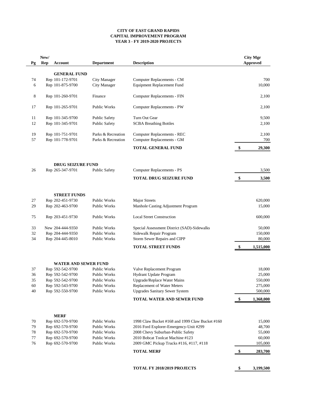#### **CITY OF EAST GRAND RAPIDS CAPITAL IMPROVEMENT PROGRAM YEAR 3 - FY 2019-2020 PROJECTS**

|          | New/       |                                      |                                            |                                                            |                           | <b>City Mgr</b>   |
|----------|------------|--------------------------------------|--------------------------------------------|------------------------------------------------------------|---------------------------|-------------------|
| Pg       | <b>Rep</b> | <b>Account</b>                       | <b>Department</b>                          | <b>Description</b>                                         |                           | <b>Approved</b>   |
|          |            | <b>GENERAL FUND</b>                  |                                            |                                                            |                           |                   |
| 74       |            | Rep 101-172-9701                     | <b>City Manager</b>                        | <b>Computer Replacements - CM</b>                          |                           | 700               |
| 6        |            | Rep 101-875-9700                     | <b>City Manager</b>                        | <b>Equipment Replacement Fund</b>                          |                           | 10,000            |
| 8        |            | Rep 101-260-9701                     | Finance                                    | <b>Computer Replacements - FIN</b>                         |                           | 2,100             |
| 17       |            | Rep 101-265-9701                     | <b>Public Works</b>                        | <b>Computer Replacements - PW</b>                          |                           | 2,100             |
| 11       |            | Rep 101-345-9700                     | <b>Public Safety</b>                       | Turn Out Gear                                              |                           | 9,500             |
| 12       |            | Rep 101-345-9701                     | <b>Public Safety</b>                       | <b>SCBA Breathing Bottles</b>                              |                           | 2,100             |
| 19       |            | Rep 101-751-9701                     | Parks & Recreation                         | <b>Computer Replacements - REC</b>                         |                           | 2,100             |
| 57       |            | Rep 101-778-9701                     | Parks & Recreation                         | <b>Computer Replacements - GM</b>                          |                           | 700               |
|          |            |                                      |                                            | <b>TOTAL GENERAL FUND</b>                                  | $\boldsymbol{\mathsf{s}}$ | 29,300            |
|          |            | <b>DRUG SEIZURE FUND</b>             |                                            |                                                            |                           |                   |
| 26       |            | Rep 265-347-9701                     | <b>Public Safety</b>                       | <b>Computer Replacements - PS</b>                          |                           | 3,500             |
|          |            |                                      |                                            | <b>TOTAL DRUG SEIZURE FUND</b>                             |                           | 3,500             |
|          |            |                                      |                                            |                                                            |                           |                   |
|          |            | <b>STREET FUNDS</b>                  |                                            |                                                            |                           |                   |
| 27<br>29 |            | Rep 202-451-9730<br>Rep 202-463-9700 | <b>Public Works</b><br><b>Public Works</b> | <b>Major Streets</b><br>Manhole Casting Adjustment Program |                           | 620,000<br>15,000 |
|          |            |                                      |                                            |                                                            |                           |                   |
| 75       |            | Rep 203-451-9730                     | <b>Public Works</b>                        | <b>Local Street Construction</b>                           |                           | 600,000           |
| 33       |            | New 204-444-9350                     | <b>Public Works</b>                        | Special Assessment District (SAD)-Sidewalks                |                           | 50,000            |
| 32       |            | Rep 204-444-9350                     | <b>Public Works</b>                        | Sidewalk Repair Program                                    |                           | 150,000           |
| 34       |            | Rep 204-445-8010                     | Public Works                               | <b>Storm Sewer Repairs and CIPP</b>                        |                           | 80,000            |
|          |            |                                      |                                            | <b>TOTAL STREET FUNDS</b>                                  | $\mathbf{\$}$             | 1,515,000         |
|          |            | <b>WATER AND SEWER FUND</b>          |                                            |                                                            |                           |                   |
| 37       |            | Rep 592-542-9700                     | <b>Public Works</b>                        | Valve Replacement Program                                  |                           | 18,000            |
| 36       |            | Rep 592-542-9700                     | <b>Public Works</b>                        | Hydrant Update Program                                     |                           | 25,000            |
| 35       |            | Rep 592-542-9700                     | <b>Public Works</b>                        | <b>Upgrade/Replace Water Mains</b>                         |                           | 550,000           |
| 60       |            | Rep 592-543-9700                     | <b>Public Works</b>                        | Replacement of Water Meters                                |                           | 275,000           |
| 40       |            | Rep 592-550-9700                     | Public Works                               | <b>Upgrades Sanitary Sewer System</b>                      |                           | 500,000           |
|          |            |                                      |                                            | <b>TOTAL WATER AND SEWER FUND</b>                          | $\sqrt[6]{\frac{1}{2}}$   | 1,368,000         |
|          |            | <b>MERF</b>                          |                                            |                                                            |                           |                   |
| 70       |            | Rep 692-570-9700                     | <b>Public Works</b>                        | 1998 Claw Bucket #168 and 1999 Claw Bucket #160            |                           | 15,000            |
| 79       |            | Rep 692-570-9700                     | <b>Public Works</b>                        | 2016 Ford Explorer-Emergency-Unit #299                     |                           | 48,700            |
| 78       |            | Rep 692-570-9700                     | <b>Public Works</b>                        | 2008 Chevy Suburban-Public Safety                          |                           | 55,000            |
| 77       |            | Rep 692-570-9700                     | <b>Public Works</b>                        | 2010 Bobcat Toolcat Machine #123                           |                           | 60,000            |
| 76       |            | Rep 692-570-9700                     | Public Works                               | 2009 GMC Pickup Trucks #116, #117, #118                    |                           | 105,000           |
|          |            |                                      |                                            | <b>TOTAL MERF</b>                                          | $\mathbf s$               | 283,700           |
|          |            |                                      |                                            | TOTAL FY 2018/2019 PROJECTS                                | \$                        | 3,199,500         |
|          |            |                                      |                                            |                                                            |                           |                   |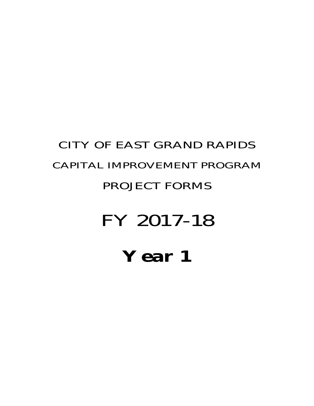# **Year 1**

# FY 2017-18

## PROJECT FORMS

## CAPITAL IMPROVEMENT PROGRAM

CITY OF EAST GRAND RAPIDS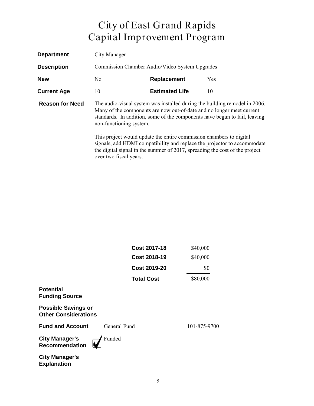| <b>Department</b>      | City Manager                                                                                                                                                                                                                                                 |                                                                     |                                                                                                                                                         |  |  |  |
|------------------------|--------------------------------------------------------------------------------------------------------------------------------------------------------------------------------------------------------------------------------------------------------------|---------------------------------------------------------------------|---------------------------------------------------------------------------------------------------------------------------------------------------------|--|--|--|
| <b>Description</b>     |                                                                                                                                                                                                                                                              | Commission Chamber Audio/Video System Upgrades                      |                                                                                                                                                         |  |  |  |
| <b>New</b>             | No                                                                                                                                                                                                                                                           | <b>Replacement</b>                                                  | <b>Yes</b>                                                                                                                                              |  |  |  |
| <b>Current Age</b>     | 10                                                                                                                                                                                                                                                           | <b>Estimated Life</b>                                               | 10                                                                                                                                                      |  |  |  |
| <b>Reason for Need</b> | The audio-visual system was installed during the building remodel in 2006.<br>Many of the components are now out-of-date and no longer meet current<br>standards. In addition, some of the components have begun to fail, leaving<br>non-functioning system. |                                                                     |                                                                                                                                                         |  |  |  |
|                        | over two fiscal years.                                                                                                                                                                                                                                       | This project would update the entire commission chambers to digital | signals, add HDMI compatibility and replace the projector to accommodate<br>the digital signal in the summer of 2017, spreading the cost of the project |  |  |  |

|                                                           | <b>Cost 2017-18</b> | \$40,000     |
|-----------------------------------------------------------|---------------------|--------------|
|                                                           | <b>Cost 2018-19</b> | \$40,000     |
|                                                           | <b>Cost 2019-20</b> | \$0          |
|                                                           | <b>Total Cost</b>   | \$80,000     |
| <b>Potential</b><br><b>Funding Source</b>                 |                     |              |
| <b>Possible Savings or</b><br><b>Other Considerations</b> |                     |              |
| <b>Fund and Account</b>                                   | General Fund        | 101-875-9700 |
| <b>City Manager's</b><br><b>Recommendation</b>            | Funded              |              |
| <b>City Manager's</b><br><b>Explanation</b>               |                     |              |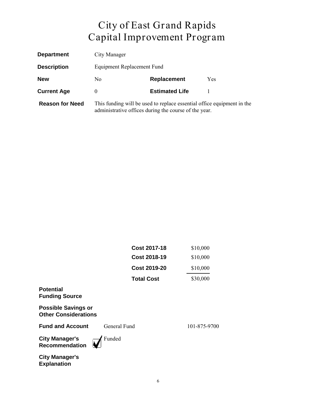| <b>Department</b>      | City Manager                                                                                                                    |                       |            |  |  |
|------------------------|---------------------------------------------------------------------------------------------------------------------------------|-----------------------|------------|--|--|
| <b>Description</b>     | Equipment Replacement Fund                                                                                                      |                       |            |  |  |
| <b>New</b>             | No.                                                                                                                             | Replacement           | <b>Yes</b> |  |  |
| <b>Current Age</b>     | $\theta$                                                                                                                        | <b>Estimated Life</b> |            |  |  |
| <b>Reason for Need</b> | This funding will be used to replace essential office equipment in the<br>administrative offices during the course of the year. |                       |            |  |  |

| Cost 2017-18        | \$10,000 |
|---------------------|----------|
| <b>Cost 2018-19</b> | \$10,000 |
| Cost 2019-20        | \$10,000 |
| <b>Total Cost</b>   | \$30,000 |
|                     |          |

#### **Potential Funding Source**

**Possible Savings or Other Considerations**

**Fund and Account** General Fund 101-875-9700

**City Manager's Recommendation** Funded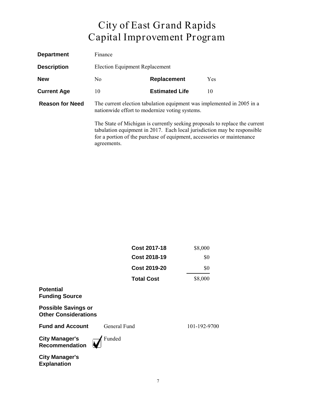| <b>Department</b>      | Finance                                                                                                                  |                                                                        |                                                                                                                                                         |  |
|------------------------|--------------------------------------------------------------------------------------------------------------------------|------------------------------------------------------------------------|---------------------------------------------------------------------------------------------------------------------------------------------------------|--|
| <b>Description</b>     |                                                                                                                          | <b>Election Equipment Replacement</b>                                  |                                                                                                                                                         |  |
| <b>New</b>             | No.                                                                                                                      | Replacement                                                            | Yes                                                                                                                                                     |  |
| <b>Current Age</b>     | 10                                                                                                                       | <b>Estimated Life</b>                                                  | 10                                                                                                                                                      |  |
| <b>Reason for Need</b> | The current election tabulation equipment was implemented in 2005 in a<br>nationwide effort to modernize voting systems. |                                                                        |                                                                                                                                                         |  |
|                        | agreements.                                                                                                              | for a portion of the purchase of equipment, accessories or maintenance | The State of Michigan is currently seeking proposals to replace the current<br>tabulation equipment in 2017. Each local jurisdiction may be responsible |  |

|                                                           | <b>Cost 2017-18</b> | \$8,000      |
|-----------------------------------------------------------|---------------------|--------------|
|                                                           | <b>Cost 2018-19</b> | \$0          |
|                                                           | <b>Cost 2019-20</b> | \$0          |
|                                                           | <b>Total Cost</b>   | \$8,000      |
| <b>Potential</b><br><b>Funding Source</b>                 |                     |              |
| <b>Possible Savings or</b><br><b>Other Considerations</b> |                     |              |
| <b>Fund and Account</b>                                   | General Fund        | 101-192-9700 |
| <b>City Manager's</b><br><b>Recommendation</b>            | Funded              |              |
| <b>City Manager's</b><br><b>Explanation</b>               |                     |              |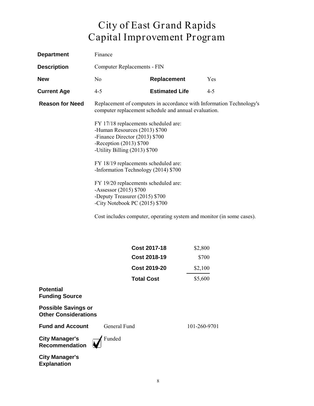| <b>Department</b>      | Finance                                                                                                                                                               |                       |                                                                       |  |
|------------------------|-----------------------------------------------------------------------------------------------------------------------------------------------------------------------|-----------------------|-----------------------------------------------------------------------|--|
| <b>Description</b>     | Computer Replacements - FIN                                                                                                                                           |                       |                                                                       |  |
| <b>New</b>             | N <sub>0</sub>                                                                                                                                                        | <b>Replacement</b>    | Yes                                                                   |  |
| <b>Current Age</b>     | $4 - 5$                                                                                                                                                               | <b>Estimated Life</b> | $4 - 5$                                                               |  |
| <b>Reason for Need</b> | computer replacement schedule and annual evaluation.                                                                                                                  |                       | Replacement of computers in accordance with Information Technology's  |  |
|                        | FY 17/18 replacements scheduled are:<br>-Human Resources (2013) \$700<br>-Finance Director (2013) \$700<br>-Reception $(2013)$ \$700<br>-Utility Billing (2013) \$700 |                       |                                                                       |  |
|                        | FY 18/19 replacements scheduled are:<br>-Information Technology (2014) \$700                                                                                          |                       |                                                                       |  |
|                        | FY 19/20 replacements scheduled are:<br>-Assessor (2015) \$700<br>-Deputy Treasurer (2015) \$700<br>-City Notebook PC (2015) \$700                                    |                       |                                                                       |  |
|                        |                                                                                                                                                                       |                       | Cost includes computer, operating system and monitor (in some cases). |  |
|                        |                                                                                                                                                                       |                       |                                                                       |  |
|                        |                                                                                                                                                                       | <b>Cost 2017-18</b>   | \$2,800                                                               |  |
|                        |                                                                                                                                                                       | <b>Cost 2018-19</b>   | \$700                                                                 |  |
|                        |                                                                                                                                                                       | <b>Cost 2019-20</b>   | \$2,100                                                               |  |
|                        |                                                                                                                                                                       | <b>Total Cost</b>     | \$5,600                                                               |  |

**Potential Funding Source**

**Possible Savings or Other Considerations**

**Fund and Account** General Fund 101-260-9701

**City Manager's Recommendation**

Funded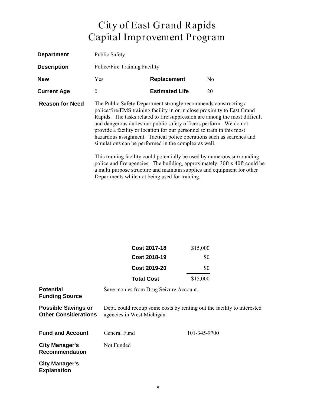| <b>Department</b>      | <b>Public Safety</b>                                                                                                                                                                                                                                                                                                                                                                                                                                                                                                                                                                                                                                                  |                       |                                                                         |
|------------------------|-----------------------------------------------------------------------------------------------------------------------------------------------------------------------------------------------------------------------------------------------------------------------------------------------------------------------------------------------------------------------------------------------------------------------------------------------------------------------------------------------------------------------------------------------------------------------------------------------------------------------------------------------------------------------|-----------------------|-------------------------------------------------------------------------|
| <b>Description</b>     | Police/Fire Training Facility                                                                                                                                                                                                                                                                                                                                                                                                                                                                                                                                                                                                                                         |                       |                                                                         |
| <b>New</b>             | Yes                                                                                                                                                                                                                                                                                                                                                                                                                                                                                                                                                                                                                                                                   | Replacement           | N <sub>0</sub>                                                          |
| <b>Current Age</b>     | $\boldsymbol{0}$                                                                                                                                                                                                                                                                                                                                                                                                                                                                                                                                                                                                                                                      | <b>Estimated Life</b> | 20                                                                      |
| <b>Reason for Need</b> | The Public Safety Department strongly recommends constructing a<br>police/fire/EMS training facility in or in close proximity to East Grand<br>Rapids. The tasks related to fire suppression are among the most difficult<br>and dangerous duties our public safety officers perform. We do not<br>provide a facility or location for our personnel to train in this most<br>hazardous assignment. Tactical police operations such as searches and<br>simulations can be performed in the complex as well.<br>This training facility could potentially be used by numerous surrounding<br>police and fire agencies. The building, approximately. 30ft x 40ft could be |                       | a multi purpose structure and maintain supplies and equipment for other |

Departments while not being used for training.

|                                                           | <b>Cost 2017-18</b>                                                                                   | \$15,000     |  |
|-----------------------------------------------------------|-------------------------------------------------------------------------------------------------------|--------------|--|
|                                                           | <b>Cost 2018-19</b>                                                                                   | \$0          |  |
|                                                           | <b>Cost 2019-20</b>                                                                                   | \$0          |  |
|                                                           | <b>Total Cost</b>                                                                                     | \$15,000     |  |
| <b>Potential</b><br><b>Funding Source</b>                 | Save monies from Drug Seizure Account.                                                                |              |  |
| <b>Possible Savings or</b><br><b>Other Considerations</b> | Dept. could recoup some costs by renting out the facility to interested<br>agencies in West Michigan. |              |  |
| <b>Fund and Account</b>                                   | General Fund                                                                                          | 101-345-9700 |  |
| <b>City Manager's</b><br><b>Recommendation</b>            | Not Funded                                                                                            |              |  |
| <b>City Manager's</b><br><b>Explanation</b>               |                                                                                                       |              |  |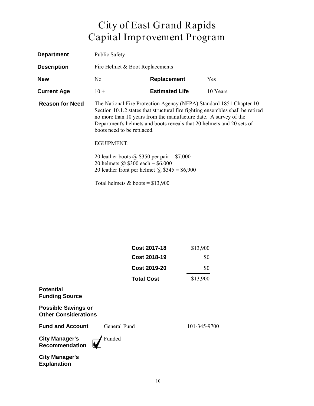| <b>Department</b>      | <b>Public Safety</b>                                                                                                                                                                                                                                                                                                                                                                          |                       |          |
|------------------------|-----------------------------------------------------------------------------------------------------------------------------------------------------------------------------------------------------------------------------------------------------------------------------------------------------------------------------------------------------------------------------------------------|-----------------------|----------|
| <b>Description</b>     | Fire Helmet & Boot Replacements                                                                                                                                                                                                                                                                                                                                                               |                       |          |
| <b>New</b>             | No.                                                                                                                                                                                                                                                                                                                                                                                           | Replacement           | Yes      |
| <b>Current Age</b>     | $10 +$                                                                                                                                                                                                                                                                                                                                                                                        | <b>Estimated Life</b> | 10 Years |
| <b>Reason for Need</b> | The National Fire Protection Agency (NFPA) Standard 1851 Chapter 10<br>Section 10.1.2 states that structural fire fighting ensembles shall be retired<br>no more than 10 years from the manufacture date. A survey of the<br>Department's helmets and boots reveals that 20 helmets and 20 sets of<br>boots need to be replaced.<br>EGUIPMENT:<br>20 leather boots @ \$350 per pair = \$7,000 |                       |          |
|                        | 20 helmets @ $$300$ each = $$6,000$<br>20 leather front per helmet $\omega$ \$345 = \$6,900                                                                                                                                                                                                                                                                                                   |                       |          |
|                        | Total helmets $&$ boots = \$13,900                                                                                                                                                                                                                                                                                                                                                            |                       |          |

|                                                           | <b>Cost 2017-18</b> | \$13,900     |
|-----------------------------------------------------------|---------------------|--------------|
|                                                           | <b>Cost 2018-19</b> | \$0          |
|                                                           | <b>Cost 2019-20</b> | \$0          |
|                                                           | <b>Total Cost</b>   | \$13,900     |
| <b>Potential</b><br><b>Funding Source</b>                 |                     |              |
| <b>Possible Savings or</b><br><b>Other Considerations</b> |                     |              |
| <b>Fund and Account</b>                                   | General Fund        | 101-345-9700 |
| <b>City Manager's</b><br><b>Recommendation</b>            | Funded              |              |
| <b>City Manager's</b><br><b>Explanation</b>               |                     |              |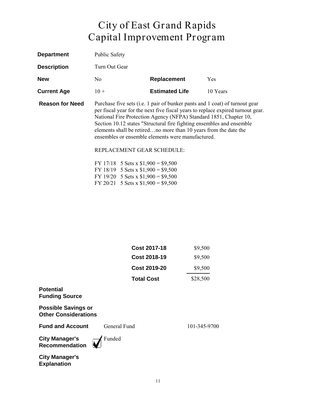| <b>Department</b>      | <b>Public Safety</b> |                                                                                                                                                                                                      |                       |                                                                                                                                                                                                                                                                                                                                                                                  |
|------------------------|----------------------|------------------------------------------------------------------------------------------------------------------------------------------------------------------------------------------------------|-----------------------|----------------------------------------------------------------------------------------------------------------------------------------------------------------------------------------------------------------------------------------------------------------------------------------------------------------------------------------------------------------------------------|
| <b>Description</b>     | Turn Out Gear        |                                                                                                                                                                                                      |                       |                                                                                                                                                                                                                                                                                                                                                                                  |
| <b>New</b>             | No.                  |                                                                                                                                                                                                      | <b>Replacement</b>    | <b>Yes</b>                                                                                                                                                                                                                                                                                                                                                                       |
| <b>Current Age</b>     | $10 +$               |                                                                                                                                                                                                      | <b>Estimated Life</b> | 10 Years                                                                                                                                                                                                                                                                                                                                                                         |
| <b>Reason for Need</b> |                      | ensembles or ensemble elements were manufactured.<br>REPLACEMENT GEAR SCHEDULE:<br>FY 17/18 5 Sets x $$1,900 = $9,500$<br>FY 18/19 5 Sets x $$1,900 = $9,500$<br>FY 19/20 5 Sets x $$1,900 = $9,500$ |                       | Purchase five sets (i.e. 1 pair of bunker pants and 1 coat) of turnout gear<br>per fiscal year for the next five fiscal years to replace expired turnout gear.<br>National Fire Protection Agency (NFPA) Standard 1851, Chapter 10,<br>Section 10.12 states "Structural fire fighting ensembles and ensemble<br>elements shall be retiredno more than 10 years from the date the |

FY 20/21 5 Sets x  $$1,900 = $9,500$ 

| Cost 2017-18        | \$9,500  |
|---------------------|----------|
| <b>Cost 2018-19</b> | \$9,500  |
| Cost 2019-20        | \$9,500  |
| <b>Total Cost</b>   | \$28,500 |
|                     |          |

#### **Potential Funding Source**

**Possible Savings or Other Considerations**

**Fund and Account** General Fund 101-345-9700

**City Manager's Recommendation** Funded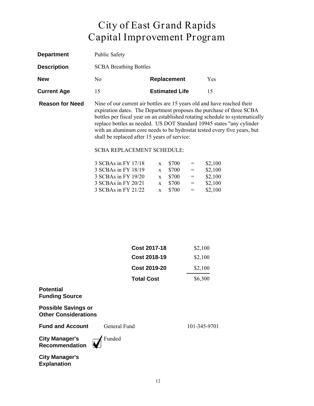| <b>Department</b>      | <b>Public Safety</b>          |                                                                                                                                                                                                                              |            |
|------------------------|-------------------------------|------------------------------------------------------------------------------------------------------------------------------------------------------------------------------------------------------------------------------|------------|
| <b>Description</b>     | <b>SCBA Breathing Bottles</b> |                                                                                                                                                                                                                              |            |
| <b>New</b>             | No.                           | <b>Replacement</b>                                                                                                                                                                                                           | <b>Yes</b> |
| <b>Current Age</b>     | 15                            | <b>Estimated Life</b>                                                                                                                                                                                                        | 15         |
| <b>Reason for Need</b> |                               | Nine of our current air bottles are 15 years old and have reached their<br>expiration dates. The Department proposes the purchase of three SCE<br>hottles per fiscal vear on an established rotating schedule to systemation |            |

expiration dates. The Department proposes the purchase of three SCBA bottles per fiscal year on an established rotating schedule to systematically replace bottles as needed. US DOT Standard 10945 states "any cylinder with an aluminum core needs to be hydrostat tested every five years, but shall be replaced after 15 years of service:

#### SCBA REPLACEMENT SCHEDULE:

|              | \$700 | $=$                                                              | \$2,100 |
|--------------|-------|------------------------------------------------------------------|---------|
| $\mathbf{x}$ | \$700 | $=$                                                              | \$2,100 |
|              |       | $=$                                                              | \$2,100 |
|              | \$700 | $=$                                                              | \$2,100 |
|              |       | $=$                                                              | \$2,100 |
|              |       | $\mathbf{x}$<br>$x \quad $700$<br>$\mathbf{x}$<br>$x \quad $700$ |         |

| <b>Cost 2017-18</b> | \$2,100 |
|---------------------|---------|
| <b>Cost 2018-19</b> | \$2,100 |
| Cost 2019-20        | \$2,100 |
| <b>Total Cost</b>   | \$6,300 |

#### **Potential Funding Source**

**Possible Savings or Other Considerations**

**Fund and Account** General Fund 101-345-9701

**City Manager's Recommendation**

Funded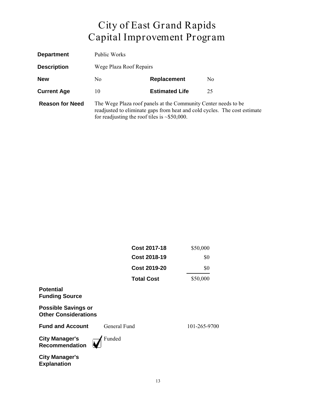| <b>Department</b>      | Public Works                                                                                                                                                                                      |                       |                |
|------------------------|---------------------------------------------------------------------------------------------------------------------------------------------------------------------------------------------------|-----------------------|----------------|
| <b>Description</b>     | Wege Plaza Roof Repairs                                                                                                                                                                           |                       |                |
| <b>New</b>             | No.                                                                                                                                                                                               | Replacement           | N <sub>0</sub> |
| <b>Current Age</b>     | 10                                                                                                                                                                                                | <b>Estimated Life</b> | 25             |
| <b>Reason for Need</b> | The Wege Plaza roof panels at the Community Center needs to be<br>readjusted to eliminate gaps from heat and cold cycles. The cost estimate<br>for readjusting the roof tiles is $\sim$ \$50,000. |                       |                |

|                                                           | <b>Cost 2017-18</b> | \$50,000     |
|-----------------------------------------------------------|---------------------|--------------|
|                                                           | <b>Cost 2018-19</b> | \$0          |
|                                                           | <b>Cost 2019-20</b> | \$0          |
|                                                           | <b>Total Cost</b>   | \$50,000     |
| <b>Potential</b><br><b>Funding Source</b>                 |                     |              |
| <b>Possible Savings or</b><br><b>Other Considerations</b> |                     |              |
| <b>Fund and Account</b>                                   | General Fund        | 101-265-9700 |
| <b>City Manager's</b><br><b>Recommendation</b>            | Funded              |              |
| <b>City Manager's</b><br><b>Explanation</b>               |                     |              |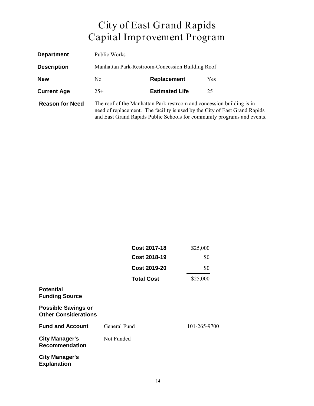| <b>Department</b>      | Public Works                                                                                                                                                                                                                   |                                                  |            |  |
|------------------------|--------------------------------------------------------------------------------------------------------------------------------------------------------------------------------------------------------------------------------|--------------------------------------------------|------------|--|
| <b>Description</b>     |                                                                                                                                                                                                                                | Manhattan Park-Restroom-Concession Building Roof |            |  |
| <b>New</b>             | No                                                                                                                                                                                                                             | <b>Replacement</b>                               | <b>Yes</b> |  |
| <b>Current Age</b>     | $25+$                                                                                                                                                                                                                          | <b>Estimated Life</b>                            | 25         |  |
| <b>Reason for Need</b> | The roof of the Manhattan Park restroom and concession building is in<br>need of replacement. The facility is used by the City of East Grand Rapids<br>and East Grand Rapids Public Schools for community programs and events. |                                                  |            |  |

|                                                           | <b>Cost 2017-18</b> | \$25,000     |
|-----------------------------------------------------------|---------------------|--------------|
|                                                           | <b>Cost 2018-19</b> | \$0          |
|                                                           | <b>Cost 2019-20</b> | \$0          |
|                                                           | <b>Total Cost</b>   | \$25,000     |
| <b>Potential</b><br><b>Funding Source</b>                 |                     |              |
| <b>Possible Savings or</b><br><b>Other Considerations</b> |                     |              |
| <b>Fund and Account</b>                                   | General Fund        | 101-265-9700 |
| <b>City Manager's</b><br><b>Recommendation</b>            | Not Funded          |              |
| <b>City Manager's</b><br><b>Explanation</b>               |                     |              |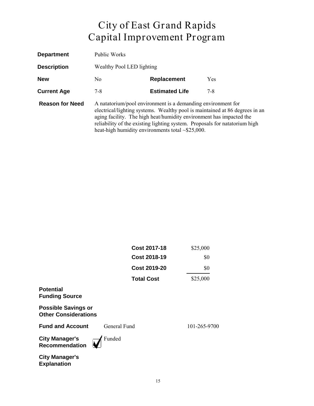| <b>Department</b>      | Public Works                            |                                                                                                                                                                                                                                                                             |                                                                             |
|------------------------|-----------------------------------------|-----------------------------------------------------------------------------------------------------------------------------------------------------------------------------------------------------------------------------------------------------------------------------|-----------------------------------------------------------------------------|
| <b>Description</b>     | Wealthy Pool LED lighting               |                                                                                                                                                                                                                                                                             |                                                                             |
| <b>New</b>             | <b>Replacement</b><br><b>Yes</b><br>No. |                                                                                                                                                                                                                                                                             |                                                                             |
| <b>Current Age</b>     | $7 - 8$                                 | <b>Estimated Life</b>                                                                                                                                                                                                                                                       | $7 - 8$                                                                     |
| <b>Reason for Need</b> |                                         | A natatorium/pool environment is a demanding environment for<br>aging facility. The high heat/humidity environment has impacted the<br>reliability of the existing lighting system. Proposals for natatorium high<br>heat-high humidity environments total $\sim$ \$25,000. | electrical/lighting systems. Wealthy pool is maintained at 86 degrees in an |

|                                                           | <b>Cost 2017-18</b> | \$25,000     |
|-----------------------------------------------------------|---------------------|--------------|
|                                                           | <b>Cost 2018-19</b> | \$0          |
|                                                           | <b>Cost 2019-20</b> | \$0          |
|                                                           | <b>Total Cost</b>   | \$25,000     |
| <b>Potential</b><br><b>Funding Source</b>                 |                     |              |
| <b>Possible Savings or</b><br><b>Other Considerations</b> |                     |              |
| <b>Fund and Account</b>                                   | General Fund        | 101-265-9700 |
| <b>City Manager's</b><br><b>Recommendation</b>            | Funded              |              |
| <b>City Manager's</b><br><b>Explanation</b>               |                     |              |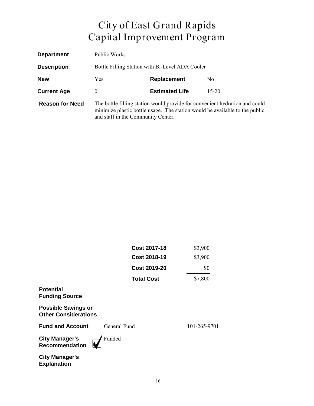| <b>Department</b>      | Public Works                                    |                       |                                                                                                                                                            |
|------------------------|-------------------------------------------------|-----------------------|------------------------------------------------------------------------------------------------------------------------------------------------------------|
| <b>Description</b>     | Bottle Filling Station with Bi-Level ADA Cooler |                       |                                                                                                                                                            |
| <b>New</b>             | Yes                                             | <b>Replacement</b>    | No.                                                                                                                                                        |
| <b>Current Age</b>     | $\theta$                                        | <b>Estimated Life</b> | $15 - 20$                                                                                                                                                  |
| <b>Reason for Need</b> | and staff in the Community Center.              |                       | The bottle filling station would provide for convenient hydration and could<br>minimize plastic bottle usage. The station would be available to the public |

|                                                           | <b>Cost 2017-18</b> | \$3,900      |
|-----------------------------------------------------------|---------------------|--------------|
|                                                           | <b>Cost 2018-19</b> | \$3,900      |
|                                                           | <b>Cost 2019-20</b> | \$0          |
|                                                           | <b>Total Cost</b>   | \$7,800      |
| <b>Potential</b><br><b>Funding Source</b>                 |                     |              |
| <b>Possible Savings or</b><br><b>Other Considerations</b> |                     |              |
| <b>Fund and Account</b>                                   | General Fund        | 101-265-9701 |
| <b>City Manager's</b><br><b>Recommendation</b>            | Funded              |              |
| <b>City Manager's</b><br><b>Explanation</b>               |                     |              |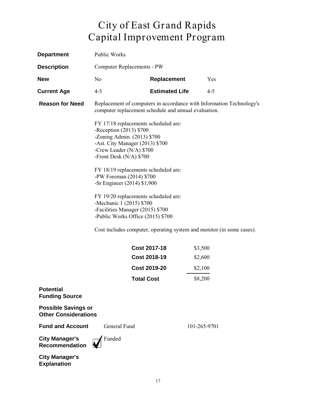| <b>Department</b>                                         | Public Works                                                                                                                                                                               |                                                                   |                                                                       |
|-----------------------------------------------------------|--------------------------------------------------------------------------------------------------------------------------------------------------------------------------------------------|-------------------------------------------------------------------|-----------------------------------------------------------------------|
| <b>Description</b>                                        | Computer Replacements - PW                                                                                                                                                                 |                                                                   |                                                                       |
| <b>New</b>                                                | No                                                                                                                                                                                         | Replacement                                                       | Yes                                                                   |
| <b>Current Age</b>                                        | $4 - 5$                                                                                                                                                                                    | <b>Estimated Life</b>                                             | $4 - 5$                                                               |
| <b>Reason for Need</b>                                    | computer replacement schedule and annual evaluation.                                                                                                                                       |                                                                   | Replacement of computers in accordance with Information Technology's  |
|                                                           | FY 17/18 replacements scheduled are:<br>-Reception (2013) \$700<br>-Zoning Admin. (2013) \$700<br>-Ast. City Manager (2013) \$700<br>-Crew Leader (N/A) \$700<br>-Front Desk $(N/A)$ \$700 |                                                                   |                                                                       |
|                                                           | FY 18/19 replacements scheduled are:<br>-PW Foreman (2014) \$700<br>-Sr Engineer (2014) \$1,900                                                                                            |                                                                   |                                                                       |
|                                                           | FY 19/20 replacements scheduled are:<br>-Mechanic 1 (2015) \$700<br>-Facilities Manager (2015) \$700<br>-Public Works Office (2015) \$700                                                  |                                                                   |                                                                       |
|                                                           |                                                                                                                                                                                            |                                                                   | Cost includes computer, operating system and monitor (in some cases). |
|                                                           | <b>Total Cost</b>                                                                                                                                                                          | <b>Cost 2017-18</b><br><b>Cost 2018-19</b><br><b>Cost 2019-20</b> | \$3,500<br>\$2,600<br>\$2,100<br>\$8,200                              |
| <b>Potential</b><br><b>Funding Source</b>                 |                                                                                                                                                                                            |                                                                   |                                                                       |
| <b>Possible Savings or</b><br><b>Other Considerations</b> |                                                                                                                                                                                            |                                                                   |                                                                       |
| <b>Fund and Account</b>                                   | General Fund                                                                                                                                                                               |                                                                   | 101-265-9701                                                          |
| <b>City Manager's</b><br><b>Recommendation</b>            | Funded                                                                                                                                                                                     |                                                                   |                                                                       |
| City Manageric                                            |                                                                                                                                                                                            |                                                                   |                                                                       |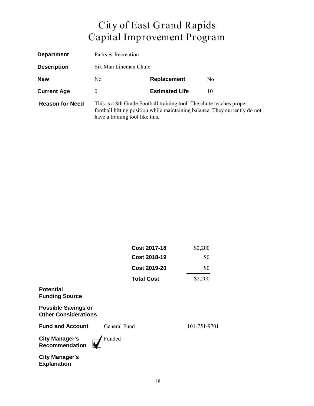| <b>Department</b>      | Parks & Recreation                                                                                                                                                                    |                       |     |
|------------------------|---------------------------------------------------------------------------------------------------------------------------------------------------------------------------------------|-----------------------|-----|
| <b>Description</b>     | Six Man Lineman Chute                                                                                                                                                                 |                       |     |
| <b>New</b>             | No.                                                                                                                                                                                   | <b>Replacement</b>    | No. |
| <b>Current Age</b>     | 0                                                                                                                                                                                     | <b>Estimated Life</b> | 10  |
| <b>Reason for Need</b> | This is a 8th Grade Football training tool. The chute teaches proper<br>football hitting position while maintaining balance. They currently do not<br>have a training tool like this. |                       |     |

|                                                           | <b>Cost 2017-18</b> | \$2,200      |
|-----------------------------------------------------------|---------------------|--------------|
|                                                           | <b>Cost 2018-19</b> | \$0          |
|                                                           | <b>Cost 2019-20</b> | \$0          |
|                                                           | <b>Total Cost</b>   | \$2,200      |
| <b>Potential</b><br><b>Funding Source</b>                 |                     |              |
| <b>Possible Savings or</b><br><b>Other Considerations</b> |                     |              |
| <b>Fund and Account</b>                                   | General Fund        | 101-751-9701 |
| <b>City Manager's</b><br><b>Recommendation</b>            | Funded              |              |
| <b>City Manager's</b><br><b>Explanation</b>               |                     |              |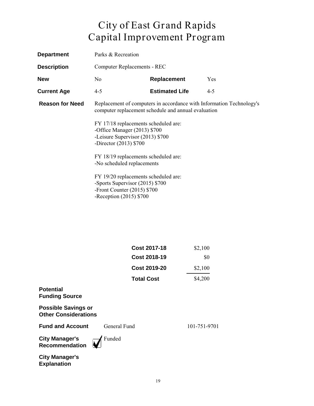| <b>Department</b>      | Parks & Recreation                                                                                                                    |                                                                                                                             |         |
|------------------------|---------------------------------------------------------------------------------------------------------------------------------------|-----------------------------------------------------------------------------------------------------------------------------|---------|
| <b>Description</b>     | <b>Computer Replacements - REC</b>                                                                                                    |                                                                                                                             |         |
| <b>New</b>             | N <sub>0</sub>                                                                                                                        | Replacement                                                                                                                 | Yes     |
| <b>Current Age</b>     | $4 - 5$                                                                                                                               | <b>Estimated Life</b>                                                                                                       | $4 - 5$ |
| <b>Reason for Need</b> |                                                                                                                                       | Replacement of computers in accordance with Information Technology's<br>computer replacement schedule and annual evaluation |         |
|                        | FY 17/18 replacements scheduled are:<br>-Office Manager (2013) \$700<br>-Leisure Supervisor (2013) \$700<br>-Director $(2013)$ \$700  |                                                                                                                             |         |
|                        | FY 18/19 replacements scheduled are:<br>-No scheduled replacements                                                                    |                                                                                                                             |         |
|                        | FY 19/20 replacements scheduled are:<br>-Sports Supervisor (2015) \$700<br>-Front Counter $(2015)$ \$700<br>-Reception $(2015)$ \$700 |                                                                                                                             |         |

| <b>Cost 2017-18</b> | \$2,100 |
|---------------------|---------|
| <b>Cost 2018-19</b> | \$0     |
| <b>Cost 2019-20</b> | \$2,100 |
| <b>Total Cost</b>   | \$4,200 |

#### **Potential Funding Source**

**Possible Savings or Other Considerations**

**Fund and Account** General Fund 101-751-9701

**City Manager's Recommendation** Funded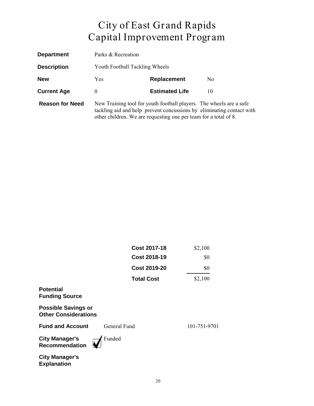| <b>Department</b>      | Parks & Recreation |                                                                                                                                         |                                                                       |  |
|------------------------|--------------------|-----------------------------------------------------------------------------------------------------------------------------------------|-----------------------------------------------------------------------|--|
| <b>Description</b>     |                    | Youth Football Tackling Wheels                                                                                                          |                                                                       |  |
| <b>New</b>             | <b>Yes</b>         | Replacement                                                                                                                             | No.                                                                   |  |
| <b>Current Age</b>     | $\theta$           | <b>Estimated Life</b>                                                                                                                   | 10                                                                    |  |
| <b>Reason for Need</b> |                    | New Training tool for youth football players. The wheels are a safe<br>other children. We are requesting one per team for a total of 8. | tackling aid and help prevent concussions by eliminating contact with |  |

|                                                           | <b>Cost 2017-18</b> | \$2,100      |
|-----------------------------------------------------------|---------------------|--------------|
|                                                           | <b>Cost 2018-19</b> | \$0          |
|                                                           | <b>Cost 2019-20</b> | \$0          |
|                                                           | <b>Total Cost</b>   | \$2,100      |
| <b>Potential</b><br><b>Funding Source</b>                 |                     |              |
| <b>Possible Savings or</b><br><b>Other Considerations</b> |                     |              |
| <b>Fund and Account</b>                                   | General Fund        | 101-751-9701 |
| <b>City Manager's</b><br><b>Recommendation</b>            | Funded              |              |
| <b>City Manager's</b><br><b>Explanation</b>               |                     |              |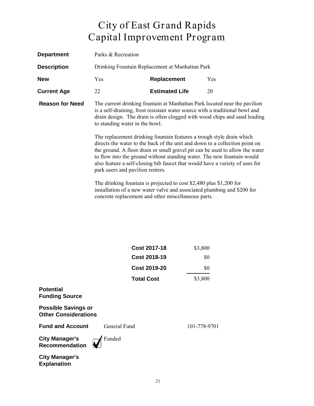| <b>Department</b>      | Parks & Recreation                                                 |                                                                                                                                                                                                                                                                                                                                                                                                |                                                                                                                                                                                                                                        |
|------------------------|--------------------------------------------------------------------|------------------------------------------------------------------------------------------------------------------------------------------------------------------------------------------------------------------------------------------------------------------------------------------------------------------------------------------------------------------------------------------------|----------------------------------------------------------------------------------------------------------------------------------------------------------------------------------------------------------------------------------------|
| <b>Description</b>     |                                                                    | Drinking Fountain Replacement at Manhattan Park                                                                                                                                                                                                                                                                                                                                                |                                                                                                                                                                                                                                        |
| <b>New</b>             | Yes                                                                | <b>Replacement</b>                                                                                                                                                                                                                                                                                                                                                                             | <b>Yes</b>                                                                                                                                                                                                                             |
| <b>Current Age</b>     | 22                                                                 | <b>Estimated Life</b>                                                                                                                                                                                                                                                                                                                                                                          | 20                                                                                                                                                                                                                                     |
| <b>Reason for Need</b> | to standing water in the bowl.<br>park users and pavilion renters. | is a self-draining, frost resistant water source with a traditional bowl and<br>The replacement drinking fountain features a trough style drain which<br>directs the water to the back of the unit and down to a collection point on<br>to flow into the ground without standing water. The new fountain would<br>also feature a self-closing bib faucet that would have a variety of uses for | The current drinking fountain at Manhattan Park located near the pavilion<br>drain design. The drain is often clogged with wood chips and sand leading<br>the ground. A floor drain or small gravel pit can be used to allow the water |
|                        |                                                                    | The drinking fountain is projected to cost \$2,480 plus \$1,200 for<br>installation of a new water valve and associated plumbing and \$200 for                                                                                                                                                                                                                                                 |                                                                                                                                                                                                                                        |

concrete replacement and other miscellaneous parts.

|                                                           | <b>Cost 2017-18</b> | \$3,800      |
|-----------------------------------------------------------|---------------------|--------------|
|                                                           | <b>Cost 2018-19</b> | \$0          |
|                                                           | <b>Cost 2019-20</b> | \$0          |
|                                                           | <b>Total Cost</b>   | \$3,800      |
| <b>Potential</b><br><b>Funding Source</b>                 |                     |              |
| <b>Possible Savings or</b><br><b>Other Considerations</b> |                     |              |
| <b>Fund and Account</b>                                   | General Fund        | 101-778-9701 |
| <b>City Manager's</b><br><b>Recommendation</b>            | Funded              |              |
| <b>City Manager's</b><br><b>Explanation</b>               |                     |              |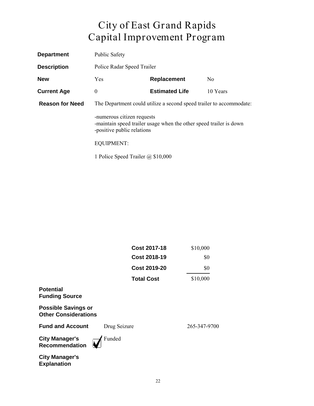| <b>Department</b>      | <b>Public Safety</b>                                                |                                                                    |                |
|------------------------|---------------------------------------------------------------------|--------------------------------------------------------------------|----------------|
| <b>Description</b>     | Police Radar Speed Trailer                                          |                                                                    |                |
| <b>New</b>             | <b>Yes</b>                                                          | Replacement                                                        | N <sub>0</sub> |
| <b>Current Age</b>     | $\boldsymbol{0}$                                                    | <b>Estimated Life</b>                                              | 10 Years       |
| <b>Reason for Need</b> | The Department could utilize a second speed trailer to accommodate: |                                                                    |                |
|                        | -numerous citizen requests<br>-positive public relations            | -maintain speed trailer usage when the other speed trailer is down |                |
|                        | <b>EQUIPMENT:</b>                                                   |                                                                    |                |
|                        | 1 Police Speed Trailer $\omega$ \$10,000                            |                                                                    |                |

|                                                           | <b>Cost 2017-18</b> | \$10,000     |
|-----------------------------------------------------------|---------------------|--------------|
|                                                           | <b>Cost 2018-19</b> | \$0          |
|                                                           | <b>Cost 2019-20</b> | \$0          |
|                                                           | <b>Total Cost</b>   | \$10,000     |
| <b>Potential</b><br><b>Funding Source</b>                 |                     |              |
| <b>Possible Savings or</b><br><b>Other Considerations</b> |                     |              |
| <b>Fund and Account</b>                                   | Drug Seizure        | 265-347-9700 |
| <b>City Manager's</b><br><b>Recommendation</b>            | Funded              |              |
| <b>City Manager's</b><br><b>Explanation</b>               |                     |              |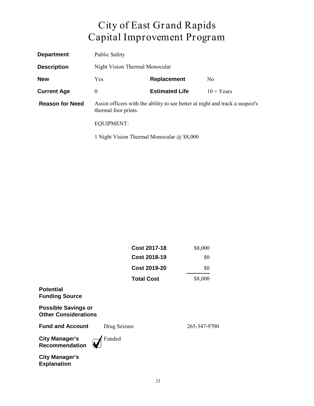| <b>Department</b>      | <b>Public Safety</b>                                                                                  |                                                   |              |  |
|------------------------|-------------------------------------------------------------------------------------------------------|---------------------------------------------------|--------------|--|
| <b>Description</b>     |                                                                                                       | Night Vision Thermal Monocular                    |              |  |
| <b>New</b>             | Yes                                                                                                   | Replacement<br>N <sub>0</sub>                     |              |  |
| <b>Current Age</b>     | $\theta$                                                                                              | <b>Estimated Life</b>                             | $10 + Years$ |  |
| <b>Reason for Need</b> | Assist officers with the ability to see better at night and track a suspect's<br>thermal foot prints. |                                                   |              |  |
|                        | <b>EQUIPMENT:</b>                                                                                     |                                                   |              |  |
|                        |                                                                                                       | 1 Night Vision Thermal Monocular $\omega$ \$8,000 |              |  |

|                                                           | <b>Cost 2017-18</b> | \$8,000      |
|-----------------------------------------------------------|---------------------|--------------|
|                                                           | <b>Cost 2018-19</b> | \$0          |
|                                                           | <b>Cost 2019-20</b> | \$0          |
|                                                           | <b>Total Cost</b>   | \$8,000      |
| <b>Potential</b><br><b>Funding Source</b>                 |                     |              |
| <b>Possible Savings or</b><br><b>Other Considerations</b> |                     |              |
| <b>Fund and Account</b>                                   | Drug Seizure        | 265-347-9700 |
| <b>City Manager's</b><br>Recommendation                   | Funded              |              |
| <b>City Manager's</b><br><b>Explanation</b>               |                     |              |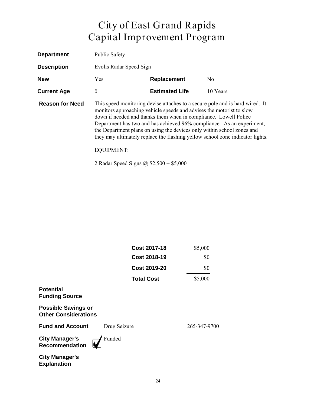| <b>Department</b>      | <b>Public Safety</b>    |                                                                                                                                                                                                                    |                                                                                                                                                                                                                                        |
|------------------------|-------------------------|--------------------------------------------------------------------------------------------------------------------------------------------------------------------------------------------------------------------|----------------------------------------------------------------------------------------------------------------------------------------------------------------------------------------------------------------------------------------|
| <b>Description</b>     | Evolis Radar Speed Sign |                                                                                                                                                                                                                    |                                                                                                                                                                                                                                        |
| <b>New</b>             | Yes                     | <b>Replacement</b>                                                                                                                                                                                                 | No.                                                                                                                                                                                                                                    |
| <b>Current Age</b>     | $\theta$                | <b>Estimated Life</b>                                                                                                                                                                                              | 10 Years                                                                                                                                                                                                                               |
| <b>Reason for Need</b> | <b>EQUIPMENT:</b>       | monitors approaching vehicle speeds and advises the motorist to slow<br>down if needed and thanks them when in compliance. Lowell Police<br>the Department plans on using the devices only within school zones and | This speed monitoring devise attaches to a secure pole and is hard wired. It<br>Department has two and has achieved 96% compliance. As an experiment,<br>they may ultimately replace the flashing yellow school zone indicator lights. |

2 Radar Speed Signs @ \$2,500 = \$5,000

|                                                           | <b>Cost 2017-18</b> | \$5,000      |
|-----------------------------------------------------------|---------------------|--------------|
|                                                           | <b>Cost 2018-19</b> | \$0          |
|                                                           | <b>Cost 2019-20</b> | \$0          |
|                                                           | <b>Total Cost</b>   | \$5,000      |
| <b>Potential</b><br><b>Funding Source</b>                 |                     |              |
| <b>Possible Savings or</b><br><b>Other Considerations</b> |                     |              |
| <b>Fund and Account</b>                                   | Drug Seizure        | 265-347-9700 |
| <b>City Manager's</b><br><b>Recommendation</b>            | Funded              |              |
| <b>City Manager's</b><br><b>Explanation</b>               |                     |              |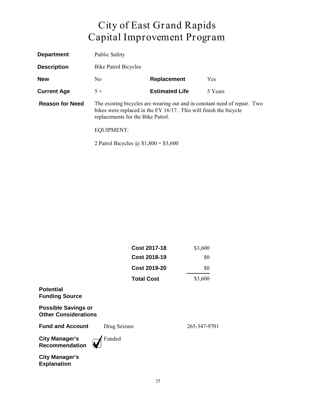| <b>Department</b>      | <b>Public Safety</b>                                                                                                                                                                |                       |         |
|------------------------|-------------------------------------------------------------------------------------------------------------------------------------------------------------------------------------|-----------------------|---------|
| <b>Description</b>     | <b>Bike Patrol Bicycles</b>                                                                                                                                                         |                       |         |
| <b>New</b>             | N <sub>0</sub>                                                                                                                                                                      | Replacement           | Yes     |
| <b>Current Age</b>     | $5+$                                                                                                                                                                                | <b>Estimated Life</b> | 5 Years |
| <b>Reason for Need</b> | The existing bicycles are wearing out and in constant need of repair. Two<br>bikes were replaced in the FY 16/17. This will finish the bicycle<br>replacements for the Bike Patrol. |                       |         |
|                        | <b>EQUIPMENT:</b>                                                                                                                                                                   |                       |         |
|                        | 2 Patrol Bicycles @ $$1,800 = $3,600$                                                                                                                                               |                       |         |

|                                                           | <b>Cost 2017-18</b> | \$3,600      |
|-----------------------------------------------------------|---------------------|--------------|
|                                                           | <b>Cost 2018-19</b> | \$0          |
|                                                           | <b>Cost 2019-20</b> | \$0          |
|                                                           | <b>Total Cost</b>   | \$3,600      |
| <b>Potential</b><br><b>Funding Source</b>                 |                     |              |
| <b>Possible Savings or</b><br><b>Other Considerations</b> |                     |              |
| <b>Fund and Account</b>                                   | Drug Seizure        | 265-347-9701 |
| <b>City Manager's</b><br><b>Recommendation</b>            | Funded              |              |
| <b>City Manager's</b><br><b>Explanation</b>               |                     |              |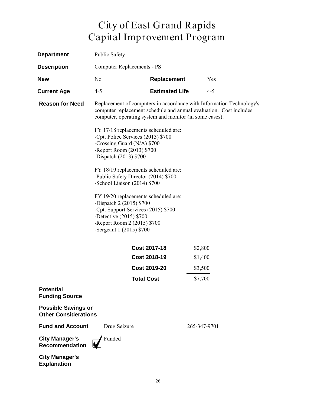| <b>Department</b>                                         | <b>Public Safety</b>                                                                                                                                                                             |                       |              |                                                                      |
|-----------------------------------------------------------|--------------------------------------------------------------------------------------------------------------------------------------------------------------------------------------------------|-----------------------|--------------|----------------------------------------------------------------------|
| <b>Description</b>                                        | <b>Computer Replacements - PS</b>                                                                                                                                                                |                       |              |                                                                      |
| <b>New</b>                                                | N <sub>0</sub>                                                                                                                                                                                   | Replacement           |              | Yes                                                                  |
| <b>Current Age</b>                                        | $4 - 5$                                                                                                                                                                                          | <b>Estimated Life</b> |              | $4 - 5$                                                              |
| <b>Reason for Need</b>                                    | computer replacement schedule and annual evaluation. Cost includes<br>computer, operating system and monitor (in some cases).                                                                    |                       |              | Replacement of computers in accordance with Information Technology's |
|                                                           | FY 17/18 replacements scheduled are:<br>-Cpt. Police Services (2013) \$700<br>-Crossing Guard ( $N/A$ ) \$700<br>-Report Room (2013) \$700<br>-Dispatch $(2013)$ \$700                           |                       |              |                                                                      |
|                                                           | FY 18/19 replacements scheduled are:<br>-Public Safety Director (2014) \$700<br>-School Liaison (2014) \$700                                                                                     |                       |              |                                                                      |
|                                                           | FY 19/20 replacements scheduled are:<br>-Dispatch 2 (2015) \$700<br>-Cpt. Support Services (2015) \$700<br>-Detective $(2015)$ \$700<br>-Report Room 2 (2015) \$700<br>-Sergeant $1(2015)$ \$700 |                       |              |                                                                      |
|                                                           |                                                                                                                                                                                                  | <b>Cost 2017-18</b>   | \$2,800      |                                                                      |
|                                                           |                                                                                                                                                                                                  | <b>Cost 2018-19</b>   | \$1,400      |                                                                      |
|                                                           |                                                                                                                                                                                                  | <b>Cost 2019-20</b>   | \$3,500      |                                                                      |
|                                                           | Total Cost                                                                                                                                                                                       |                       | \$7,700      |                                                                      |
| <b>Potential</b><br><b>Funding Source</b>                 |                                                                                                                                                                                                  |                       |              |                                                                      |
| <b>Possible Savings or</b><br><b>Other Considerations</b> |                                                                                                                                                                                                  |                       |              |                                                                      |
| <b>Fund and Account</b>                                   | Drug Seizure                                                                                                                                                                                     |                       | 265-347-9701 |                                                                      |
| <b>City Manager's</b><br><b>Recommendation</b>            | Funded                                                                                                                                                                                           |                       |              |                                                                      |
| <b>City Manager's</b>                                     |                                                                                                                                                                                                  |                       |              |                                                                      |

**Explanation**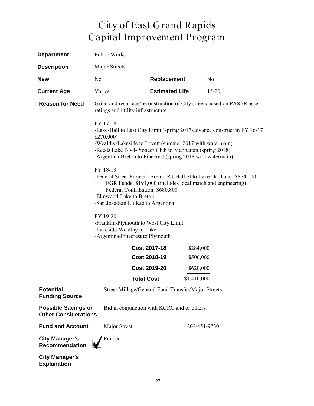| <b>Department</b>                                         | Public Works                                                                                                                                                                                                                                                                                                                                                                                                                                                                                                                                                                                                                                                                 |                                                    |              |                                                                         |
|-----------------------------------------------------------|------------------------------------------------------------------------------------------------------------------------------------------------------------------------------------------------------------------------------------------------------------------------------------------------------------------------------------------------------------------------------------------------------------------------------------------------------------------------------------------------------------------------------------------------------------------------------------------------------------------------------------------------------------------------------|----------------------------------------------------|--------------|-------------------------------------------------------------------------|
| <b>Description</b>                                        | Major Streets                                                                                                                                                                                                                                                                                                                                                                                                                                                                                                                                                                                                                                                                |                                                    |              |                                                                         |
| <b>New</b>                                                | N <sub>o</sub>                                                                                                                                                                                                                                                                                                                                                                                                                                                                                                                                                                                                                                                               | <b>Replacement</b>                                 |              | N <sub>0</sub>                                                          |
| <b>Current Age</b>                                        | Varies                                                                                                                                                                                                                                                                                                                                                                                                                                                                                                                                                                                                                                                                       | <b>Estimated Life</b>                              |              | $15 - 20$                                                               |
| <b>Reason for Need</b>                                    | ratings and utility infrastructure.                                                                                                                                                                                                                                                                                                                                                                                                                                                                                                                                                                                                                                          |                                                    |              | Grind and resurface/reconstruction of City streets based on PASER asset |
|                                                           | FY 17-18:<br>-Lake-Hall to East City Limit (spring 2017-advance construct in FY 16-17)<br>\$270,000)<br>-Wealthy-Lakeside to Lovett (summer 2017 with watermain)<br>-Reeds Lake Blvd-Pioneer Club to Manhattan (spring 2018)<br>-Argentina-Breton to Pinecrest (spring 2018 with watermain)<br>FY 18-19:<br>-Federal Street Project: Breton Rd-Hall St to Lake Dr. Total: \$874,000<br>EGR Funds: \$194,000 (includes local match and engineering)<br>Federal Contribution: \$680,800<br>-Elmwood-Lake to Breton<br>-San Jose-San Lu Rae to Argentina<br>FY 19-20:<br>-Franklin-Plymouth to West City Limit<br>-Lakeside-Wealthy to Lake<br>-Argentina-Pinecrest to Plymouth |                                                    |              |                                                                         |
|                                                           |                                                                                                                                                                                                                                                                                                                                                                                                                                                                                                                                                                                                                                                                              | <b>Cost 2017-18</b>                                | \$284,000    |                                                                         |
|                                                           |                                                                                                                                                                                                                                                                                                                                                                                                                                                                                                                                                                                                                                                                              | <b>Cost 2018-19</b>                                | \$506,000    |                                                                         |
|                                                           |                                                                                                                                                                                                                                                                                                                                                                                                                                                                                                                                                                                                                                                                              | <b>Cost 2019-20</b>                                | \$620,000    |                                                                         |
|                                                           |                                                                                                                                                                                                                                                                                                                                                                                                                                                                                                                                                                                                                                                                              | <b>Total Cost</b>                                  | \$1,410,000  |                                                                         |
| <b>Potential</b><br><b>Funding Source</b>                 |                                                                                                                                                                                                                                                                                                                                                                                                                                                                                                                                                                                                                                                                              | Street Millage/General Fund Transfer/Major Streets |              |                                                                         |
| <b>Possible Savings or</b><br><b>Other Considerations</b> |                                                                                                                                                                                                                                                                                                                                                                                                                                                                                                                                                                                                                                                                              | Bid in conjunction with KCRC and or others.        |              |                                                                         |
| <b>Fund and Account</b>                                   | Major Street                                                                                                                                                                                                                                                                                                                                                                                                                                                                                                                                                                                                                                                                 |                                                    | 202-451-9730 |                                                                         |
| <b>City Manager's</b><br><b>Recommendation</b>            | Funded                                                                                                                                                                                                                                                                                                                                                                                                                                                                                                                                                                                                                                                                       |                                                    |              |                                                                         |
| <b>City Manager's</b>                                     |                                                                                                                                                                                                                                                                                                                                                                                                                                                                                                                                                                                                                                                                              |                                                    |              |                                                                         |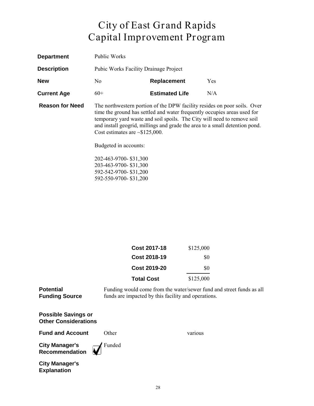| <b>Department</b>      | Public Works                                                                                                                                                                                                                                                                                                                                                                    |                       |     |
|------------------------|---------------------------------------------------------------------------------------------------------------------------------------------------------------------------------------------------------------------------------------------------------------------------------------------------------------------------------------------------------------------------------|-----------------------|-----|
| <b>Description</b>     | <b>Pubic Works Facility Drainage Project</b>                                                                                                                                                                                                                                                                                                                                    |                       |     |
| <b>New</b>             | No.                                                                                                                                                                                                                                                                                                                                                                             | Replacement           | Yes |
| <b>Current Age</b>     | $60+$                                                                                                                                                                                                                                                                                                                                                                           | <b>Estimated Life</b> | N/A |
| <b>Reason for Need</b> | The northwestern portion of the DPW facility resides on poor soils. Over<br>time the ground has settled and water frequently occupies areas used for<br>temporary yard waste and soil spoils. The City will need to remove soil<br>and install geogrid, millings and grade the area to a small detention pond.<br>Cost estimates are $\sim$ \$125,000.<br>Budgeted in accounts: |                       |     |
|                        |                                                                                                                                                                                                                                                                                                                                                                                 |                       |     |
|                        | 202-463-9700- \$31,300<br>203-463-9700- \$31,300                                                                                                                                                                                                                                                                                                                                |                       |     |

592-542-9700- \$31,200 592-550-9700- \$31,200

| <b>Cost 2017-18</b> | \$125,000 |
|---------------------|-----------|
| <b>Cost 2018-19</b> | \$0       |
| Cost 2019-20        | \$0       |
| <b>Total Cost</b>   | \$125,000 |

**Potential Funding Source** Funding would come from the water/sewer fund and street funds as all funds are impacted by this facility and operations.

**Possible Savings or Other Considerations**

**Fund and Account** Other **COMEX COMEX CONSUMING VALUAT** Various

**City Manager's Recommendation**

Funded V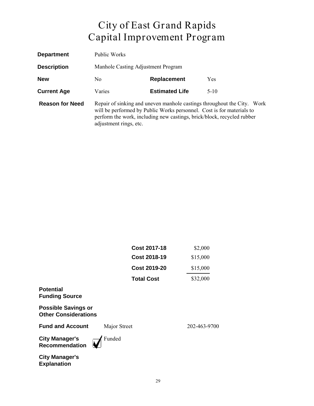| <b>Department</b>      | Public Works                                                                                                                                                                                                                                         |                       |            |
|------------------------|------------------------------------------------------------------------------------------------------------------------------------------------------------------------------------------------------------------------------------------------------|-----------------------|------------|
| <b>Description</b>     | Manhole Casting Adjustment Program                                                                                                                                                                                                                   |                       |            |
| <b>New</b>             | No.                                                                                                                                                                                                                                                  | Replacement           | <b>Yes</b> |
| <b>Current Age</b>     | Varies                                                                                                                                                                                                                                               | <b>Estimated Life</b> | $5-10$     |
| <b>Reason for Need</b> | Repair of sinking and uneven manhole castings throughout the City. Work<br>will be performed by Public Works personnel. Cost is for materials to<br>perform the work, including new castings, brick/block, recycled rubber<br>adjustment rings, etc. |                       |            |

| <b>Cost 2017-18</b> | \$2,000  |
|---------------------|----------|
| <b>Cost 2018-19</b> | \$15,000 |
| <b>Cost 2019-20</b> | \$15,000 |
| <b>Total Cost</b>   | \$32,000 |

#### **Potential Funding Source**

**Possible Savings or Other Considerations**

**Fund and Account** Major Street 202-463-9700

**City Manager's Recommendation**

Funded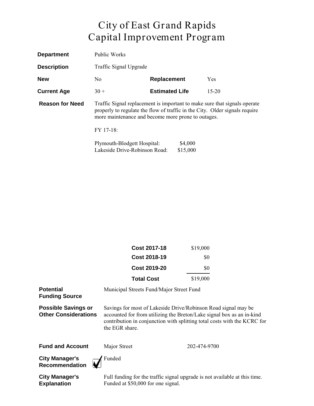| <b>Department</b>      | Public Works                                                                                                                                                                                                   |                       |           |
|------------------------|----------------------------------------------------------------------------------------------------------------------------------------------------------------------------------------------------------------|-----------------------|-----------|
| <b>Description</b>     | Traffic Signal Upgrade                                                                                                                                                                                         |                       |           |
| <b>New</b>             | N <sub>0</sub>                                                                                                                                                                                                 | Replacement           | Yes       |
| <b>Current Age</b>     | $30 +$                                                                                                                                                                                                         | <b>Estimated Life</b> | $15 - 20$ |
| <b>Reason for Need</b> | Traffic Signal replacement is important to make sure that signals operate<br>properly to regulate the flow of traffic in the City. Older signals require<br>more maintenance and become more prone to outages. |                       |           |
|                        | FY 17-18:                                                                                                                                                                                                      |                       |           |
|                        | Plymouth-Blodgett Hospital:<br>Lakeside Drive-Robinson Road:                                                                                                                                                   | \$4,000<br>\$15,000   |           |

|                                                           | <b>Cost 2017-18</b>                      | \$19,000                                                                                                                                                                                                            |
|-----------------------------------------------------------|------------------------------------------|---------------------------------------------------------------------------------------------------------------------------------------------------------------------------------------------------------------------|
|                                                           | <b>Cost 2018-19</b>                      | \$0                                                                                                                                                                                                                 |
|                                                           | <b>Cost 2019-20</b>                      | \$0                                                                                                                                                                                                                 |
|                                                           | <b>Total Cost</b>                        | \$19,000                                                                                                                                                                                                            |
| <b>Potential</b><br><b>Funding Source</b>                 | Municipal Streets Fund/Major Street Fund |                                                                                                                                                                                                                     |
| <b>Possible Savings or</b><br><b>Other Considerations</b> | the EGR share.                           | Savings for most of Lakeside Drive/Robinson Road signal may be<br>accounted for from utilizing the Breton/Lake signal box as an in-kind<br>contribution in conjunction with splitting total costs with the KCRC for |
| <b>Fund and Account</b>                                   | Major Street                             | 202-474-9700                                                                                                                                                                                                        |

**City Manager's Recommendation**

Funded ☑

**City Manager's Explanation**

Full funding for the traffic signal upgrade is not available at this time. Funded at \$50,000 for one signal.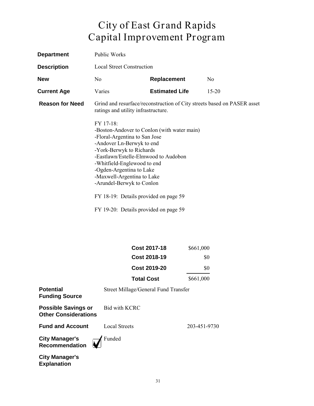| <b>Department</b>      | <b>Public Works</b>                                                                                                                                                                                                                                                                                                                                                                                                                                                         |                       |                |
|------------------------|-----------------------------------------------------------------------------------------------------------------------------------------------------------------------------------------------------------------------------------------------------------------------------------------------------------------------------------------------------------------------------------------------------------------------------------------------------------------------------|-----------------------|----------------|
| <b>Description</b>     | Local Street Construction                                                                                                                                                                                                                                                                                                                                                                                                                                                   |                       |                |
| <b>New</b>             | N <sub>0</sub>                                                                                                                                                                                                                                                                                                                                                                                                                                                              | <b>Replacement</b>    | N <sub>0</sub> |
| <b>Current Age</b>     | Varies                                                                                                                                                                                                                                                                                                                                                                                                                                                                      | <b>Estimated Life</b> | $15 - 20$      |
| <b>Reason for Need</b> | Grind and resurface/reconstruction of City streets based on PASER asset<br>ratings and utility infrastructure.<br>FY 17-18:<br>-Boston-Andover to Conlon (with water main)<br>-Floral-Argentina to San Jose<br>-Andover Ln-Berwyk to end<br>-York-Berwyk to Richards<br>-Eastlawn/Estelle-Elmwood to Audobon<br>-Whitfield-Englewood to end<br>-Ogden-Argentina to Lake<br>-Maxwell-Argentina to Lake<br>-Arundel-Berwyk to Conlon<br>FY 18-19: Details provided on page 59 |                       |                |
|                        | FY 19-20: Details provided on page 59                                                                                                                                                                                                                                                                                                                                                                                                                                       |                       |                |

| <b>Cost 2017-18</b> | \$661,000 |
|---------------------|-----------|
| Cost 2018-19        | \$0       |
| <b>Cost 2019-20</b> | \$0       |
| <b>Total Cost</b>   | \$661,000 |

| <b>Potential</b><br><b>Funding Source</b>                 | Street Millage/General Fund Transfer |              |
|-----------------------------------------------------------|--------------------------------------|--------------|
| <b>Possible Savings or</b><br><b>Other Considerations</b> | Bid with KCRC                        |              |
| <b>Fund and Account</b>                                   | <b>Local Streets</b>                 | 203-451-9730 |
| <b>City Manager's<br/>Recommendation</b>                  | $\overline{\mathbf{v}}$ Funded       |              |
| $P^{\mu\nu}$ . Manazarta                                  |                                      |              |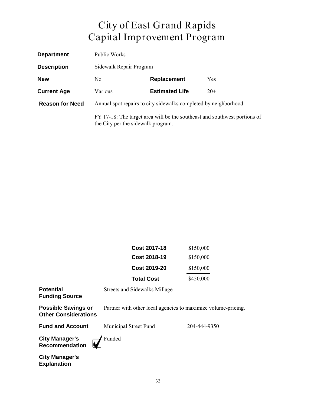| <b>Department</b>      | Public Works                                                                                                    |                       |       |  |
|------------------------|-----------------------------------------------------------------------------------------------------------------|-----------------------|-------|--|
| <b>Description</b>     | Sidewalk Repair Program                                                                                         |                       |       |  |
| <b>New</b>             | Replacement<br>N <sub>0</sub><br>Yes                                                                            |                       |       |  |
| <b>Current Age</b>     | Various                                                                                                         | <b>Estimated Life</b> | $20+$ |  |
| <b>Reason for Need</b> | Annual spot repairs to city sidewalks completed by neighborhood.                                                |                       |       |  |
|                        | FY 17-18: The target area will be the southeast and southwest portions of<br>the City per the sidewalk program. |                       |       |  |

| <b>Cost 2017-18</b> | \$150,000 |
|---------------------|-----------|
| <b>Cost 2018-19</b> | \$150,000 |
| <b>Cost 2019-20</b> | \$150,000 |
| <b>Total Cost</b>   | \$450,000 |

**Potential Funding Source** Streets and Sidewalks Millage

**Possible Savings or Other Considerations**

Partner with other local agencies to maximize volume-pricing.

**Fund and Account** Municipal Street Fund 204-444-9350

**City Manager's Recommendation**

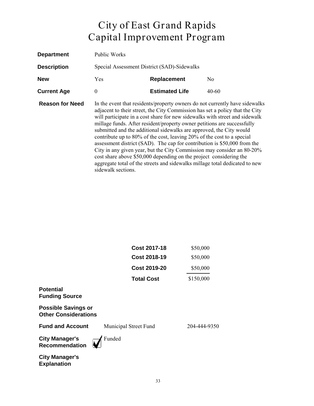| <b>Department</b>      | Public Works                                                                                                                                                                                                                                                                                                                                                                                                                                                                                                                                                                                                                                                                                                                                                                                            |                       |       |  |
|------------------------|---------------------------------------------------------------------------------------------------------------------------------------------------------------------------------------------------------------------------------------------------------------------------------------------------------------------------------------------------------------------------------------------------------------------------------------------------------------------------------------------------------------------------------------------------------------------------------------------------------------------------------------------------------------------------------------------------------------------------------------------------------------------------------------------------------|-----------------------|-------|--|
| <b>Description</b>     | Special Assessment District (SAD)-Sidewalks                                                                                                                                                                                                                                                                                                                                                                                                                                                                                                                                                                                                                                                                                                                                                             |                       |       |  |
| <b>New</b>             | <b>Yes</b><br>Replacement<br>No.                                                                                                                                                                                                                                                                                                                                                                                                                                                                                                                                                                                                                                                                                                                                                                        |                       |       |  |
| <b>Current Age</b>     | $\theta$                                                                                                                                                                                                                                                                                                                                                                                                                                                                                                                                                                                                                                                                                                                                                                                                | <b>Estimated Life</b> | 40-60 |  |
| <b>Reason for Need</b> | In the event that residents/property owners do not currently have sidewalks<br>adjacent to their street, the City Commission has set a policy that the City<br>will participate in a cost share for new sidewalks with street and sidewalk<br>millage funds. After resident/property owner petitions are successfully<br>submitted and the additional sidewalks are approved, the City would<br>contribute up to 80% of the cost, leaving 20% of the cost to a special<br>assessment district (SAD). The cap for contribution is \$50,000 from the<br>City in any given year, but the City Commission may consider an 80-20%<br>cost share above \$50,000 depending on the project considering the<br>aggregate total of the streets and sidewalks millage total dedicated to new<br>sidewalk sections. |                       |       |  |

| <b>Cost 2017-18</b> | \$50,000  |
|---------------------|-----------|
| Cost 2018-19        | \$50,000  |
| Cost 2019-20        | \$50,000  |
| <b>Total Cost</b>   | \$150,000 |
|                     |           |
|                     |           |

**Possible Savings or Other Considerations**

**Fund and Account** Municipal Street Fund 204-444-9350

**Funding Source**

**Potential** 

**City Manager's Recommendation**

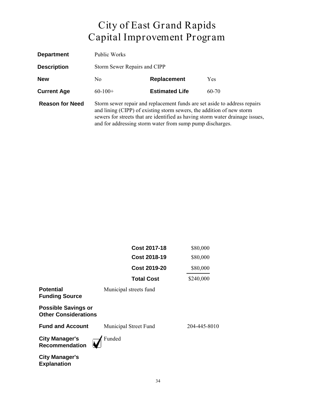| <b>Department</b>      | Public Works                                                                                                                                                                                                                                                                                     |                       |           |  |
|------------------------|--------------------------------------------------------------------------------------------------------------------------------------------------------------------------------------------------------------------------------------------------------------------------------------------------|-----------------------|-----------|--|
| <b>Description</b>     | Storm Sewer Repairs and CIPP                                                                                                                                                                                                                                                                     |                       |           |  |
| <b>New</b>             | Replacement<br>No.<br><b>Yes</b>                                                                                                                                                                                                                                                                 |                       |           |  |
| <b>Current Age</b>     | $60-100+$                                                                                                                                                                                                                                                                                        | <b>Estimated Life</b> | $60 - 70$ |  |
| <b>Reason for Need</b> | Storm sewer repair and replacement funds are set aside to address repairs<br>and lining (CIPP) of existing storm sewers, the addition of new storm<br>sewers for streets that are identified as having storm water drainage issues,<br>and for addressing storm water from sump pump discharges. |                       |           |  |

|                                                           | Cost 2017-18           | \$80,000     |
|-----------------------------------------------------------|------------------------|--------------|
|                                                           | Cost 2018-19           | \$80,000     |
|                                                           | <b>Cost 2019-20</b>    | \$80,000     |
|                                                           | <b>Total Cost</b>      | \$240,000    |
| <b>Potential</b><br><b>Funding Source</b>                 | Municipal streets fund |              |
| <b>Possible Savings or</b><br><b>Other Considerations</b> |                        |              |
| <b>Fund and Account</b>                                   | Municipal Street Fund  | 204-445-8010 |
| <b>City Manager's</b><br><b>Recommendation</b>            | Funded                 |              |
| <b>City Manager's</b>                                     |                        |              |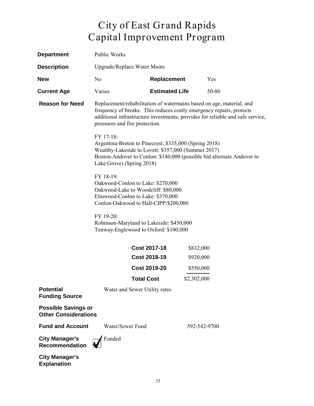| <b>Department</b>                                         | Public Works                                                                                                                                                                                                                                                          |                       |              |       |
|-----------------------------------------------------------|-----------------------------------------------------------------------------------------------------------------------------------------------------------------------------------------------------------------------------------------------------------------------|-----------------------|--------------|-------|
| <b>Description</b>                                        | Upgrade/Replace Water Mains                                                                                                                                                                                                                                           |                       |              |       |
| <b>New</b>                                                | N <sub>0</sub><br><b>Replacement</b><br>Yes                                                                                                                                                                                                                           |                       |              |       |
| <b>Current Age</b>                                        | Varies                                                                                                                                                                                                                                                                | <b>Estimated Life</b> |              | 50-80 |
| <b>Reason for Need</b>                                    | Replacement/rehabilitation of watermains based on age, material, and<br>frequency of breaks. This reduces costly emergency repairs, protects<br>additional infrastructure investments, provides for reliable and safe service,<br>pressures and fire protection.      |                       |              |       |
|                                                           | FY 17-18:<br>Argentina-Breton to Pinecrest: \$335,000 (Spring 2018)<br>Wealthy-Lakeside to Lovett: \$357,000 (Summer 2017)<br>Boston-Andover to Conlon: \$140,000 (possible bid alternate Andover to<br>Lake Grove) (Spring 2018)                                     |                       |              |       |
|                                                           | FY 18-19:<br>Oakwood-Conlon to Lake: \$270,000<br>Oakwood-Lake to Woodcliff: \$80,000<br>Elmwood-Conlon to Lake: \$370,000<br>Conlon-Oakwood to Hall-CIPP:\$200,000<br>FY 19-20:<br>Robinson-Maryland to Lakeside: \$450,000<br>Tenway-Englewood to Oxford: \$100,000 |                       |              |       |
|                                                           |                                                                                                                                                                                                                                                                       |                       |              |       |
|                                                           |                                                                                                                                                                                                                                                                       | <b>Cost 2017-18</b>   | \$832,000    |       |
|                                                           |                                                                                                                                                                                                                                                                       | <b>Cost 2018-19</b>   | \$920,000    |       |
|                                                           |                                                                                                                                                                                                                                                                       | <b>Cost 2019-20</b>   | \$550,000    |       |
|                                                           | Total Cost                                                                                                                                                                                                                                                            |                       | \$2,302,000  |       |
| <b>Potential</b><br><b>Funding Source</b>                 | Water and Sewer Utility rates                                                                                                                                                                                                                                         |                       |              |       |
| <b>Possible Savings or</b><br><b>Other Considerations</b> |                                                                                                                                                                                                                                                                       |                       |              |       |
| <b>Fund and Account</b>                                   | Water/Sewer Fund                                                                                                                                                                                                                                                      |                       | 592-542-9700 |       |
| <b>City Manager's</b><br><b>Recommendation</b>            | Funded                                                                                                                                                                                                                                                                |                       |              |       |
| <b>City Manager's</b>                                     |                                                                                                                                                                                                                                                                       |                       |              |       |

**Explanation**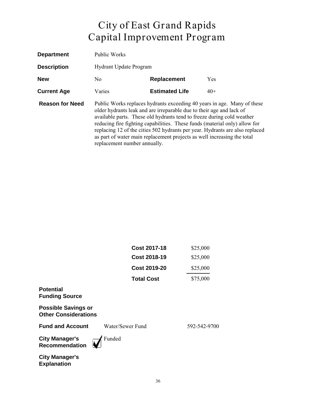| <b>Department</b>      | <b>Public Works</b>                                                                                                                                                                                                                                                                                                                                                                                                                                                                                |                       |       |  |
|------------------------|----------------------------------------------------------------------------------------------------------------------------------------------------------------------------------------------------------------------------------------------------------------------------------------------------------------------------------------------------------------------------------------------------------------------------------------------------------------------------------------------------|-----------------------|-------|--|
| <b>Description</b>     | <b>Hydrant Update Program</b>                                                                                                                                                                                                                                                                                                                                                                                                                                                                      |                       |       |  |
| <b>New</b>             | Replacement<br><b>Yes</b><br>N <sub>0</sub>                                                                                                                                                                                                                                                                                                                                                                                                                                                        |                       |       |  |
| <b>Current Age</b>     | Varies                                                                                                                                                                                                                                                                                                                                                                                                                                                                                             | <b>Estimated Life</b> | $40+$ |  |
| <b>Reason for Need</b> | Public Works replaces hydrants exceeding 40 years in age. Many of these<br>older hydrants leak and are irreparable due to their age and lack of<br>available parts. These old hydrants tend to freeze during cold weather<br>reducing fire fighting capabilities. These funds (material only) allow for<br>replacing 12 of the cities 502 hydrants per year. Hydrants are also replaced<br>as part of water main replacement projects as well increasing the total<br>replacement number annually. |                       |       |  |

|                                                           | <b>Cost 2017-18</b> | \$25,000     |
|-----------------------------------------------------------|---------------------|--------------|
|                                                           | <b>Cost 2018-19</b> | \$25,000     |
|                                                           | <b>Cost 2019-20</b> | \$25,000     |
|                                                           | <b>Total Cost</b>   | \$75,000     |
| <b>Potential</b><br><b>Funding Source</b>                 |                     |              |
| <b>Possible Savings or</b><br><b>Other Considerations</b> |                     |              |
| <b>Fund and Account</b>                                   | Water/Sewer Fund    | 592-542-9700 |
| <b>City Manager's</b><br><b>Recommendation</b>            | Funded              |              |
| <b>City Manager's</b><br><b>Explanation</b>               |                     |              |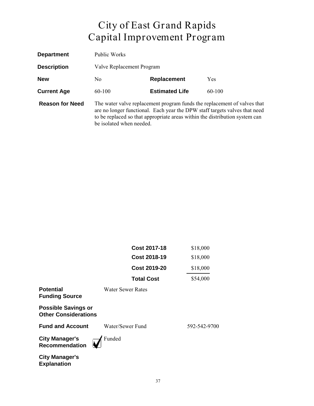| <b>Department</b>      | Public Works                                                                                                                                                                                                                                                      |  |  |  |  |
|------------------------|-------------------------------------------------------------------------------------------------------------------------------------------------------------------------------------------------------------------------------------------------------------------|--|--|--|--|
| <b>Description</b>     | Valve Replacement Program                                                                                                                                                                                                                                         |  |  |  |  |
| <b>New</b>             | Replacement<br>Yes<br>No.                                                                                                                                                                                                                                         |  |  |  |  |
| <b>Current Age</b>     | <b>Estimated Life</b><br>$60-100$<br>$60-100$                                                                                                                                                                                                                     |  |  |  |  |
| <b>Reason for Need</b> | The water valve replacement program funds the replacement of valves that<br>are no longer functional. Each year the DPW staff targets valves that need<br>to be replaced so that appropriate areas within the distribution system can<br>be isolated when needed. |  |  |  |  |

|                                                           | <b>Cost 2017-18</b>      | \$18,000     |
|-----------------------------------------------------------|--------------------------|--------------|
|                                                           | <b>Cost 2018-19</b>      | \$18,000     |
|                                                           | <b>Cost 2019-20</b>      | \$18,000     |
|                                                           | <b>Total Cost</b>        | \$54,000     |
| <b>Potential</b><br><b>Funding Source</b>                 | <b>Water Sewer Rates</b> |              |
| <b>Possible Savings or</b><br><b>Other Considerations</b> |                          |              |
| <b>Fund and Account</b>                                   | Water/Sewer Fund         | 592-542-9700 |
| <b>City Manager's</b><br><b>Recommendation</b>            | Funded                   |              |
| <b>City Manager's</b><br><b>Explanation</b>               |                          |              |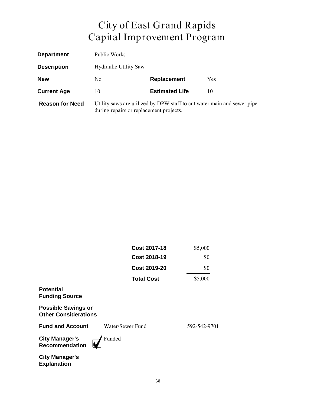| <b>Department</b>      | Public Works                                                                                                       |                       |            |
|------------------------|--------------------------------------------------------------------------------------------------------------------|-----------------------|------------|
| <b>Description</b>     | <b>Hydraulic Utility Saw</b>                                                                                       |                       |            |
| <b>New</b>             | No.                                                                                                                | <b>Replacement</b>    | <b>Yes</b> |
| <b>Current Age</b>     | 10                                                                                                                 | <b>Estimated Life</b> | 10         |
| <b>Reason for Need</b> | Utility saws are utilized by DPW staff to cut water main and sewer pipe<br>during repairs or replacement projects. |                       |            |

|                                                           | <b>Cost 2017-18</b> | \$5,000      |
|-----------------------------------------------------------|---------------------|--------------|
|                                                           | <b>Cost 2018-19</b> | \$0          |
|                                                           | <b>Cost 2019-20</b> | \$0          |
|                                                           | <b>Total Cost</b>   | \$5,000      |
| <b>Potential</b><br><b>Funding Source</b>                 |                     |              |
| <b>Possible Savings or</b><br><b>Other Considerations</b> |                     |              |
| <b>Fund and Account</b>                                   | Water/Sewer Fund    | 592-542-9701 |
| <b>City Manager's</b><br><b>Recommendation</b>            | Funded              |              |
| <b>City Manager's</b><br><b>Explanation</b>               |                     |              |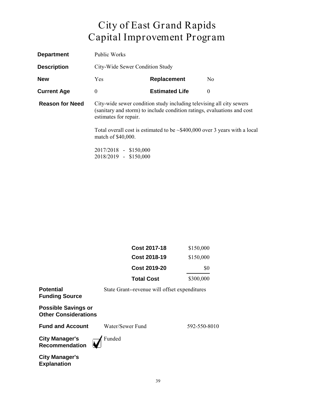| <b>Department</b>      | Public Works                                                                                                                                                             |                       |                |
|------------------------|--------------------------------------------------------------------------------------------------------------------------------------------------------------------------|-----------------------|----------------|
| <b>Description</b>     | City-Wide Sewer Condition Study                                                                                                                                          |                       |                |
| <b>New</b>             | <b>Yes</b>                                                                                                                                                               | Replacement           | N <sub>0</sub> |
| <b>Current Age</b>     | $\theta$                                                                                                                                                                 | <b>Estimated Life</b> | $\theta$       |
| <b>Reason for Need</b> | City-wide sewer condition study including televising all city sewers<br>(sanitary and storm) to include condition ratings, evaluations and cost<br>estimates for repair. |                       |                |
|                        | Total overall cost is estimated to be $\sim$ \$400,000 over 3 years with a local<br>match of \$40,000.                                                                   |                       |                |
|                        | 2017/2018 - \$150,000                                                                                                                                                    |                       |                |

2017/2018 - \$150,000 2018/2019 - \$150,000

| Cost 2017-18        | \$150,000 |
|---------------------|-----------|
| Cost 2018-19        | \$150,000 |
| <b>Cost 2019-20</b> | \$0       |
| <b>Total Cost</b>   | \$300,000 |

**Potential**  State Grant--revenue will offset expenditures **Funding Source Possible Savings or Other Considerations Fund and Account** Water/Sewer Fund 592-550-8010 **City Manager's** Funded  $\overline{\mathbf{V}}$ **Recommendation**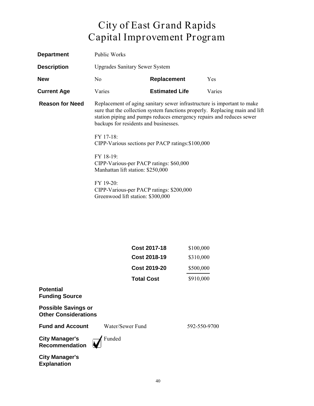| <b>Department</b>      | Public Works                                                                                                                                                                                                                                                            |                       |           |
|------------------------|-------------------------------------------------------------------------------------------------------------------------------------------------------------------------------------------------------------------------------------------------------------------------|-----------------------|-----------|
| <b>Description</b>     | <b>Upgrades Sanitary Sewer System</b>                                                                                                                                                                                                                                   |                       |           |
| <b>New</b>             | N <sub>o</sub>                                                                                                                                                                                                                                                          | <b>Replacement</b>    | Yes       |
| <b>Current Age</b>     | Varies                                                                                                                                                                                                                                                                  | <b>Estimated Life</b> | Varies    |
| <b>Reason for Need</b> | Replacement of aging sanitary sewer infrastructure is important to make<br>sure that the collection system functions properly. Replacing main and lift<br>station piping and pumps reduces emergency repairs and reduces sewer<br>backups for residents and businesses. |                       |           |
|                        | FY 17-18:<br>CIPP-Various sections per PACP ratings: \$100,000                                                                                                                                                                                                          |                       |           |
|                        | FY 18-19:<br>CIPP-Various-per PACP ratings: \$60,000<br>Manhattan lift station: \$250,000                                                                                                                                                                               |                       |           |
|                        | FY 19-20:<br>CIPP-Various-per PACP ratings: \$200,000<br>Greenwood lift station: \$300,000                                                                                                                                                                              |                       |           |
|                        |                                                                                                                                                                                                                                                                         |                       |           |
|                        |                                                                                                                                                                                                                                                                         |                       |           |
|                        |                                                                                                                                                                                                                                                                         | <b>Cost 2017-18</b>   | \$100,000 |
|                        |                                                                                                                                                                                                                                                                         | <b>Cost 2018-19</b>   | \$310,000 |
|                        |                                                                                                                                                                                                                                                                         | <b>Cost 2019-20</b>   | \$500,000 |
|                        | <b>Total Cost</b>                                                                                                                                                                                                                                                       |                       | \$910,000 |

#### **Potential Funding Source**

**Possible Savings or Other Considerations**

**Fund and Account** Water/Sewer Fund 592-550-9700

**City Manager's Recommendation**

Funded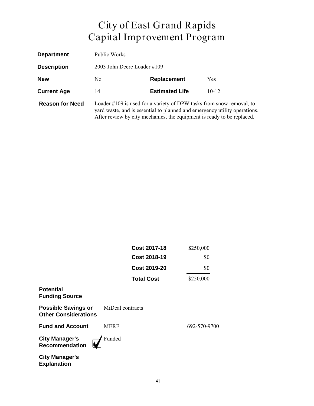| <b>Department</b>      | Public Works                                                                                                                                                                                                                |                       |            |
|------------------------|-----------------------------------------------------------------------------------------------------------------------------------------------------------------------------------------------------------------------------|-----------------------|------------|
| <b>Description</b>     | 2003 John Deere Loader #109                                                                                                                                                                                                 |                       |            |
| <b>New</b>             | N <sub>0</sub>                                                                                                                                                                                                              | Replacement           | <b>Yes</b> |
| <b>Current Age</b>     | 14                                                                                                                                                                                                                          | <b>Estimated Life</b> | $10 - 12$  |
| <b>Reason for Need</b> | Loader #109 is used for a variety of DPW tasks from snow removal, to<br>yard waste, and is essential to planned and emergency utility operations.<br>After review by city mechanics, the equipment is ready to be replaced. |                       |            |

|                                                           | <b>Cost 2017-18</b> | \$250,000    |
|-----------------------------------------------------------|---------------------|--------------|
|                                                           | <b>Cost 2018-19</b> | \$0          |
|                                                           | <b>Cost 2019-20</b> | \$0          |
|                                                           | <b>Total Cost</b>   | \$250,000    |
| <b>Potential</b><br><b>Funding Source</b>                 |                     |              |
| <b>Possible Savings or</b><br><b>Other Considerations</b> | MiDeal contracts    |              |
| <b>Fund and Account</b>                                   | <b>MERF</b>         | 692-570-9700 |
| <b>City Manager's</b><br><b>Recommendation</b>            | Funded              |              |
| <b>City Manager's</b><br><b>Explanation</b>               |                     |              |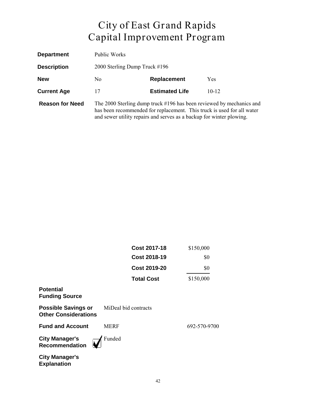| <b>Department</b>      | Public Works                                                                                                                                                                                                           |                       |            |
|------------------------|------------------------------------------------------------------------------------------------------------------------------------------------------------------------------------------------------------------------|-----------------------|------------|
| <b>Description</b>     | 2000 Sterling Dump Truck #196                                                                                                                                                                                          |                       |            |
| <b>New</b>             | N <sub>0</sub>                                                                                                                                                                                                         | <b>Replacement</b>    | <b>Yes</b> |
| <b>Current Age</b>     | 17                                                                                                                                                                                                                     | <b>Estimated Life</b> | $10 - 12$  |
| <b>Reason for Need</b> | The 2000 Sterling dump truck #196 has been reviewed by mechanics and<br>has been recommended for replacement. This truck is used for all water<br>and sewer utility repairs and serves as a backup for winter plowing. |                       |            |

|                                                           | <b>Cost 2017-18</b>  | \$150,000    |
|-----------------------------------------------------------|----------------------|--------------|
|                                                           | <b>Cost 2018-19</b>  | \$0          |
|                                                           | <b>Cost 2019-20</b>  | \$0          |
|                                                           | <b>Total Cost</b>    | \$150,000    |
| <b>Potential</b><br><b>Funding Source</b>                 |                      |              |
| <b>Possible Savings or</b><br><b>Other Considerations</b> | MiDeal bid contracts |              |
| <b>Fund and Account</b>                                   | <b>MERF</b>          | 692-570-9700 |
| <b>City Manager's</b><br><b>Recommendation</b>            | Funded               |              |
| <b>City Manager's</b><br><b>Explanation</b>               |                      |              |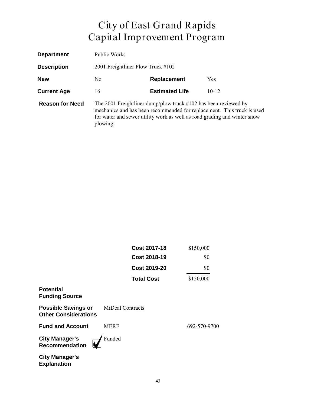| <b>Department</b>      | Public Works                                                                                                                                                                                                                        |                       |            |
|------------------------|-------------------------------------------------------------------------------------------------------------------------------------------------------------------------------------------------------------------------------------|-----------------------|------------|
| <b>Description</b>     | 2001 Freightliner Plow Truck #102                                                                                                                                                                                                   |                       |            |
| <b>New</b>             | No.                                                                                                                                                                                                                                 | Replacement           | <b>Yes</b> |
| <b>Current Age</b>     | 16                                                                                                                                                                                                                                  | <b>Estimated Life</b> | $10 - 12$  |
| <b>Reason for Need</b> | The 2001 Freightliner dump/plow truck $#102$ has been reviewed by<br>mechanics and has been recommended for replacement. This truck is used<br>for water and sewer utility work as well as road grading and winter snow<br>plowing. |                       |            |

|                                                           | <b>Cost 2017-18</b> | \$150,000    |
|-----------------------------------------------------------|---------------------|--------------|
|                                                           | <b>Cost 2018-19</b> | \$0          |
|                                                           | <b>Cost 2019-20</b> | \$0          |
|                                                           | <b>Total Cost</b>   | \$150,000    |
| <b>Potential</b><br><b>Funding Source</b>                 |                     |              |
| <b>Possible Savings or</b><br><b>Other Considerations</b> | MiDeal Contracts    |              |
| <b>Fund and Account</b>                                   | <b>MERF</b>         | 692-570-9700 |
| <b>City Manager's</b><br><b>Recommendation</b>            | Funded              |              |
| <b>City Manager's</b><br><b>Explanation</b>               |                     |              |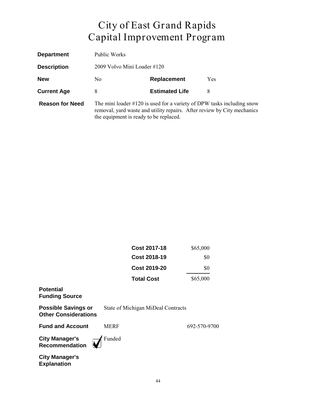| <b>Department</b>      | Public Works                                                                                                                                                                                   |                       |            |
|------------------------|------------------------------------------------------------------------------------------------------------------------------------------------------------------------------------------------|-----------------------|------------|
| <b>Description</b>     | 2009 Volvo Mini Loader #120                                                                                                                                                                    |                       |            |
| <b>New</b>             | N <sub>0</sub>                                                                                                                                                                                 | <b>Replacement</b>    | <b>Yes</b> |
| <b>Current Age</b>     | 8                                                                                                                                                                                              | <b>Estimated Life</b> | 8          |
| <b>Reason for Need</b> | The mini loader $\#120$ is used for a variety of DPW tasks including snow<br>removal, yard waste and utility repairs. After review by City mechanics<br>the equipment is ready to be replaced. |                       |            |

| Cost 2017-18      | \$65,000 |
|-------------------|----------|
| Cost 2018-19      | \$0      |
| Cost 2019-20      | \$0      |
| <b>Total Cost</b> | \$65,000 |

#### **Potential Funding Source**

| <b>Possible Savings or</b>  | State of Michigan MiDeal Contracts |
|-----------------------------|------------------------------------|
| <b>Other Considerations</b> |                                    |

**Fund and Account** MERF 692-570-9700

**City Manager's Recommendation**

Funded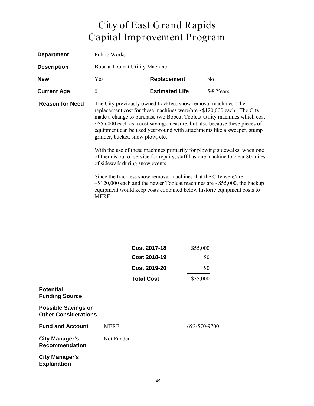| <b>Department</b>      | Public Works                                                                                                                                                                                                                                                                                                                                                                                                                  |                                                                                                                                            |                                                                                      |
|------------------------|-------------------------------------------------------------------------------------------------------------------------------------------------------------------------------------------------------------------------------------------------------------------------------------------------------------------------------------------------------------------------------------------------------------------------------|--------------------------------------------------------------------------------------------------------------------------------------------|--------------------------------------------------------------------------------------|
| <b>Description</b>     | <b>Bobcat Toolcat Utility Machine</b>                                                                                                                                                                                                                                                                                                                                                                                         |                                                                                                                                            |                                                                                      |
| <b>New</b>             | Yes                                                                                                                                                                                                                                                                                                                                                                                                                           | <b>Replacement</b>                                                                                                                         | N <sub>0</sub>                                                                       |
| <b>Current Age</b>     | $\theta$                                                                                                                                                                                                                                                                                                                                                                                                                      | <b>Estimated Life</b>                                                                                                                      | 5-8 Years                                                                            |
| <b>Reason for Need</b> | The City previously owned trackless snow removal machines. The<br>replacement cost for these machines were/are $\sim$ \$120,000 each. The City<br>made a change to purchase two Bobcat Toolcat utility machines which cost<br>$\sim$ \$55,000 each as a cost savings measure, but also because these pieces of<br>equipment can be used year-round with attachments like a sweeper, stump<br>grinder, bucket, snow plow, etc. |                                                                                                                                            |                                                                                      |
|                        | With the use of these machines primarily for plowing sidewalks, when one<br>of them is out of service for repairs, staff has one machine to clear 80 miles<br>of sidewalk during snow events.                                                                                                                                                                                                                                 |                                                                                                                                            |                                                                                      |
|                        |                                                                                                                                                                                                                                                                                                                                                                                                                               | Since the trackless snow removal machines that the City were/are<br>equipment would keep costs contained below historic equipment costs to | $\sim$ \$120,000 each and the newer Toolcat machines are $\sim$ \$55,000, the backup |

|                                                           | <b>Cost 2017-18</b> | \$55,000     |
|-----------------------------------------------------------|---------------------|--------------|
|                                                           | <b>Cost 2018-19</b> | \$0          |
|                                                           | <b>Cost 2019-20</b> | \$0          |
|                                                           | <b>Total Cost</b>   | \$55,000     |
| <b>Potential</b><br><b>Funding Source</b>                 |                     |              |
| <b>Possible Savings or</b><br><b>Other Considerations</b> |                     |              |
| <b>Fund and Account</b>                                   | <b>MERF</b>         | 692-570-9700 |
| <b>City Manager's</b><br><b>Recommendation</b>            | Not Funded          |              |
| <b>City Manager's</b><br><b>Explanation</b>               |                     |              |

MERF.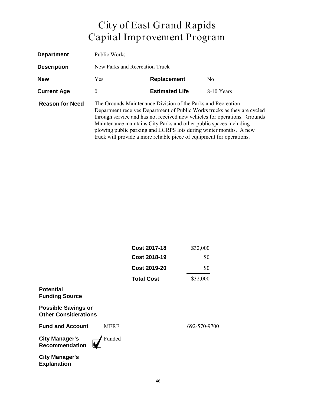| <b>Department</b>      | <b>Public Works</b>                                                                                                                                                                                                                                                                                                                                                                                                                       |                       |            |  |
|------------------------|-------------------------------------------------------------------------------------------------------------------------------------------------------------------------------------------------------------------------------------------------------------------------------------------------------------------------------------------------------------------------------------------------------------------------------------------|-----------------------|------------|--|
| <b>Description</b>     | New Parks and Recreation Truck                                                                                                                                                                                                                                                                                                                                                                                                            |                       |            |  |
| <b>New</b>             | Replacement<br><b>Yes</b><br>N <sub>0</sub>                                                                                                                                                                                                                                                                                                                                                                                               |                       |            |  |
| <b>Current Age</b>     | $\theta$                                                                                                                                                                                                                                                                                                                                                                                                                                  | <b>Estimated Life</b> | 8-10 Years |  |
| <b>Reason for Need</b> | The Grounds Maintenance Division of the Parks and Recreation<br>Department receives Department of Public Works trucks as they are cycled<br>through service and has not received new vehicles for operations. Grounds<br>Maintenance maintains City Parks and other public spaces including<br>plowing public parking and EGRPS lots during winter months. A new<br>truck will provide a more reliable piece of equipment for operations. |                       |            |  |

|                                                           |             | <b>Cost 2017-18</b> | \$32,000     |
|-----------------------------------------------------------|-------------|---------------------|--------------|
|                                                           |             | <b>Cost 2018-19</b> | \$0          |
|                                                           |             | <b>Cost 2019-20</b> | \$0          |
|                                                           |             | <b>Total Cost</b>   | \$32,000     |
| <b>Potential</b><br><b>Funding Source</b>                 |             |                     |              |
| <b>Possible Savings or</b><br><b>Other Considerations</b> |             |                     |              |
| <b>Fund and Account</b>                                   | <b>MERF</b> |                     | 692-570-9700 |
| <b>City Manager's</b><br><b>Recommendation</b>            | Funded      |                     |              |
| <b>City Manager's</b><br><b>Explanation</b>               |             |                     |              |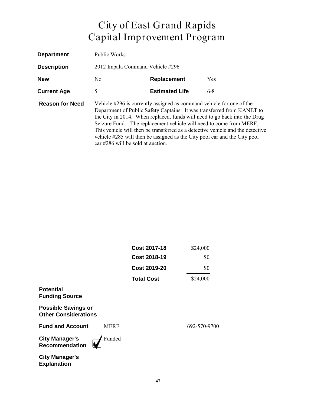| <b>Department</b>      | Public Works                      |                                                                                                                                                                                                                         |                                                                                                                                                                                                                                       |
|------------------------|-----------------------------------|-------------------------------------------------------------------------------------------------------------------------------------------------------------------------------------------------------------------------|---------------------------------------------------------------------------------------------------------------------------------------------------------------------------------------------------------------------------------------|
| <b>Description</b>     | 2012 Impala Command Vehicle #296  |                                                                                                                                                                                                                         |                                                                                                                                                                                                                                       |
| <b>New</b>             | N <sub>0</sub>                    | Replacement                                                                                                                                                                                                             | <b>Yes</b>                                                                                                                                                                                                                            |
| <b>Current Age</b>     | 5                                 | <b>Estimated Life</b>                                                                                                                                                                                                   | $6 - 8$                                                                                                                                                                                                                               |
| <b>Reason for Need</b> | car #286 will be sold at auction. | Vehicle #296 is currently assigned as command vehicle for one of the<br>Seizure Fund. The replacement vehicle will need to come from MERF.<br>vehicle #285 will then be assigned as the City pool car and the City pool | Department of Public Safety Captains. It was transferred from KANET to<br>the City in 2014. When replaced, funds will need to go back into the Drug<br>This vehicle will then be transferred as a detective vehicle and the detective |

|                                                           |             | <b>Cost 2017-18</b> | \$24,000     |
|-----------------------------------------------------------|-------------|---------------------|--------------|
|                                                           |             | <b>Cost 2018-19</b> | \$0          |
|                                                           |             | <b>Cost 2019-20</b> | \$0          |
|                                                           |             | <b>Total Cost</b>   | \$24,000     |
| <b>Potential</b><br><b>Funding Source</b>                 |             |                     |              |
| <b>Possible Savings or</b><br><b>Other Considerations</b> |             |                     |              |
| <b>Fund and Account</b>                                   | <b>MERF</b> |                     | 692-570-9700 |
| <b>City Manager's</b><br><b>Recommendation</b>            | Funded      |                     |              |
| <b>City Manager's</b><br><b>Explanation</b>               |             |                     |              |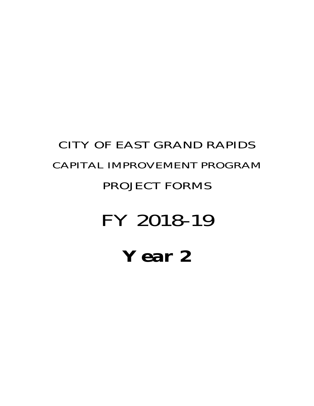## **Year 2**

## FY 2018-19

#### PROJECT FORMS

# CAPITAL IMPROVEMENT PROGRAM

CITY OF EAST GRAND RAPIDS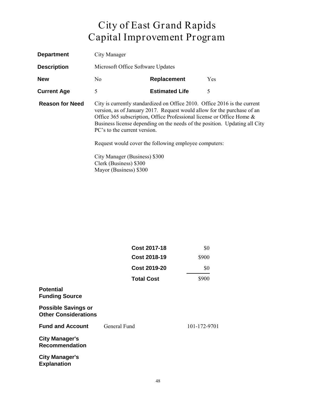| <b>Department</b>      | City Manager                                                                                                                                                                                                                                                                                                                                                                                            |                       |            |
|------------------------|---------------------------------------------------------------------------------------------------------------------------------------------------------------------------------------------------------------------------------------------------------------------------------------------------------------------------------------------------------------------------------------------------------|-----------------------|------------|
| <b>Description</b>     | Microsoft Office Software Updates                                                                                                                                                                                                                                                                                                                                                                       |                       |            |
| <b>New</b>             | No.                                                                                                                                                                                                                                                                                                                                                                                                     | Replacement           | <b>Yes</b> |
| <b>Current Age</b>     | 5                                                                                                                                                                                                                                                                                                                                                                                                       | <b>Estimated Life</b> | 5          |
| <b>Reason for Need</b> | City is currently standardized on Office 2010. Office 2016 is the current<br>version, as of January 2017. Request would allow for the purchase of an<br>Office 365 subscription, Office Professional license or Office Home $\&$<br>Business license depending on the needs of the position. Updating all City<br>PC's to the current version.<br>Request would cover the following employee computers: |                       |            |
|                        |                                                                                                                                                                                                                                                                                                                                                                                                         |                       |            |
|                        | City Manager (Business) \$300<br>Clerk (Business) \$300                                                                                                                                                                                                                                                                                                                                                 |                       |            |

|                                                           | <b>Cost 2017-18</b> | \$0          |
|-----------------------------------------------------------|---------------------|--------------|
|                                                           | <b>Cost 2018-19</b> | \$900        |
|                                                           | <b>Cost 2019-20</b> | \$0          |
|                                                           | <b>Total Cost</b>   | \$900        |
| <b>Potential</b><br><b>Funding Source</b>                 |                     |              |
| <b>Possible Savings or</b><br><b>Other Considerations</b> |                     |              |
| <b>Fund and Account</b>                                   | General Fund        | 101-172-9701 |
| <b>City Manager's</b><br><b>Recommendation</b>            |                     |              |
| <b>City Manager's</b><br><b>Explanation</b>               |                     |              |

Mayor (Business) \$300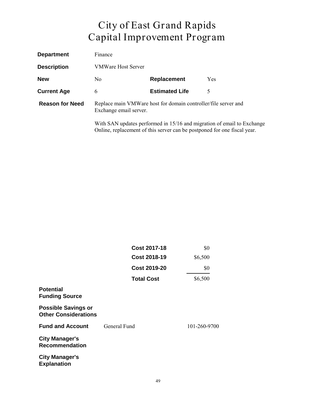| <b>Department</b>      | Finance                                                                                                                                            |                       |            |
|------------------------|----------------------------------------------------------------------------------------------------------------------------------------------------|-----------------------|------------|
| <b>Description</b>     | <b>VMWare Host Server</b>                                                                                                                          |                       |            |
| <b>New</b>             | No.                                                                                                                                                | Replacement           | <b>Yes</b> |
| <b>Current Age</b>     | 6                                                                                                                                                  | <b>Estimated Life</b> | 5          |
| <b>Reason for Need</b> | Replace main VMWare host for domain controller/file server and<br>Exchange email server.                                                           |                       |            |
|                        | With SAN updates performed in 15/16 and migration of email to Exchange<br>Online, replacement of this server can be postponed for one fiscal year. |                       |            |

|                                                           | <b>Cost 2017-18</b> | \$0          |
|-----------------------------------------------------------|---------------------|--------------|
|                                                           | <b>Cost 2018-19</b> | \$6,500      |
|                                                           | <b>Cost 2019-20</b> | \$0          |
|                                                           | <b>Total Cost</b>   | \$6,500      |
| <b>Potential</b><br><b>Funding Source</b>                 |                     |              |
| <b>Possible Savings or</b><br><b>Other Considerations</b> |                     |              |
| <b>Fund and Account</b>                                   | General Fund        | 101-260-9700 |
| <b>City Manager's</b><br><b>Recommendation</b>            |                     |              |
| <b>City Manager's</b><br><b>Explanation</b>               |                     |              |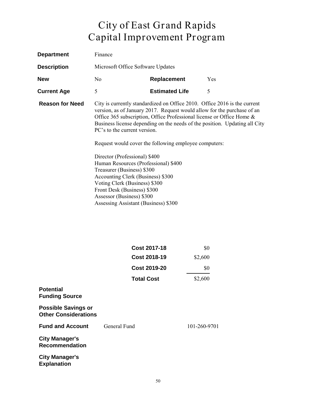| <b>Department</b>      | Finance                                                                                                                                                                                                                                                                                                       |                                                                                                                                                                                                                                                                                        |                                                                            |
|------------------------|---------------------------------------------------------------------------------------------------------------------------------------------------------------------------------------------------------------------------------------------------------------------------------------------------------------|----------------------------------------------------------------------------------------------------------------------------------------------------------------------------------------------------------------------------------------------------------------------------------------|----------------------------------------------------------------------------|
| <b>Description</b>     | Microsoft Office Software Updates                                                                                                                                                                                                                                                                             |                                                                                                                                                                                                                                                                                        |                                                                            |
| <b>New</b>             | N <sub>0</sub>                                                                                                                                                                                                                                                                                                | <b>Replacement</b>                                                                                                                                                                                                                                                                     | <b>Yes</b>                                                                 |
| <b>Current Age</b>     | 5                                                                                                                                                                                                                                                                                                             | <b>Estimated Life</b>                                                                                                                                                                                                                                                                  | 5                                                                          |
| <b>Reason for Need</b> | PC's to the current version.<br>Director (Professional) \$400<br>Human Resources (Professional) \$400<br>Treasurer (Business) \$300<br>Accounting Clerk (Business) \$300<br>Voting Clerk (Business) \$300<br>Front Desk (Business) \$300<br>Assessor (Business) \$300<br>Assessing Assistant (Business) \$300 | City is currently standardized on Office 2010. Office 2016 is the current<br>version, as of January 2017. Request would allow for the purchase of an<br>Office 365 subscription, Office Professional license or Office Home &<br>Request would cover the following employee computers: | Business license depending on the needs of the position. Updating all City |

| <b>Cost 2017-18</b> | \$0     |
|---------------------|---------|
| Cost 2018-19        | \$2,600 |
| Cost 2019-20        | \$0     |
| <b>Total Cost</b>   | \$2,600 |

| <b>Potential</b><br><b>Funding Source</b>                 |              |              |
|-----------------------------------------------------------|--------------|--------------|
| <b>Possible Savings or</b><br><b>Other Considerations</b> |              |              |
| <b>Fund and Account</b>                                   | General Fund | 101-260-9701 |
| <b>City Manager's</b><br><b>Recommendation</b>            |              |              |
| <b>City Manager's</b><br><b>Explanation</b>               |              |              |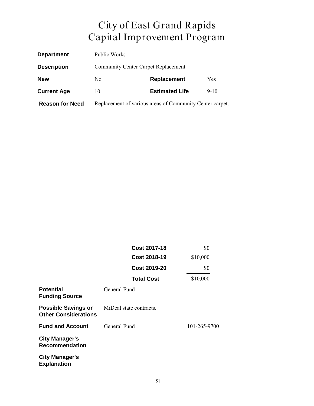| <b>Department</b>      | Public Works                                             |                       |          |
|------------------------|----------------------------------------------------------|-----------------------|----------|
| <b>Description</b>     | <b>Community Center Carpet Replacement</b>               |                       |          |
| <b>New</b>             | No.                                                      | Replacement           | Yes      |
| <b>Current Age</b>     | 10                                                       | <b>Estimated Life</b> | $9 - 10$ |
| <b>Reason for Need</b> | Replacement of various areas of Community Center carpet. |                       |          |

|                                                           | <b>Cost 2017-18</b>     | \$0          |
|-----------------------------------------------------------|-------------------------|--------------|
|                                                           | <b>Cost 2018-19</b>     | \$10,000     |
|                                                           | Cost 2019-20            | \$0          |
|                                                           | <b>Total Cost</b>       | \$10,000     |
| <b>Potential</b><br><b>Funding Source</b>                 | General Fund            |              |
| <b>Possible Savings or</b><br><b>Other Considerations</b> | MiDeal state contracts. |              |
| <b>Fund and Account</b>                                   | General Fund            | 101-265-9700 |
| <b>City Manager's</b><br><b>Recommendation</b>            |                         |              |
| <b>City Manager's</b><br><b>Explanation</b>               |                         |              |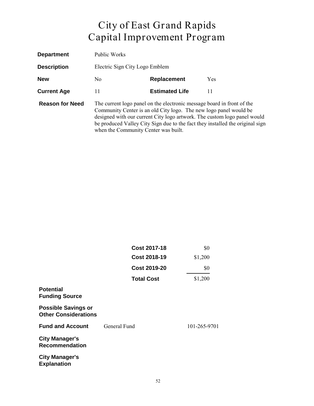| <b>Department</b>      | Public Works                         |                                                                                                                                             |                                                                                                                                                           |
|------------------------|--------------------------------------|---------------------------------------------------------------------------------------------------------------------------------------------|-----------------------------------------------------------------------------------------------------------------------------------------------------------|
| <b>Description</b>     | Electric Sign City Logo Emblem       |                                                                                                                                             |                                                                                                                                                           |
| <b>New</b>             | N <sub>0</sub>                       | Replacement                                                                                                                                 | Yes                                                                                                                                                       |
| <b>Current Age</b>     | 11                                   | <b>Estimated Life</b>                                                                                                                       | 11                                                                                                                                                        |
| <b>Reason for Need</b> | when the Community Center was built. | The current logo panel on the electronic message board in front of the<br>Community Center is an old City logo. The new logo panel would be | designed with our current City logo artwork. The custom logo panel would<br>be produced Valley City Sign due to the fact they installed the original sign |

|                                                           | <b>Cost 2017-18</b> | \$0          |
|-----------------------------------------------------------|---------------------|--------------|
|                                                           | <b>Cost 2018-19</b> | \$1,200      |
|                                                           | <b>Cost 2019-20</b> | \$0          |
|                                                           | <b>Total Cost</b>   | \$1,200      |
| <b>Potential</b><br><b>Funding Source</b>                 |                     |              |
| <b>Possible Savings or</b><br><b>Other Considerations</b> |                     |              |
| <b>Fund and Account</b>                                   | General Fund        | 101-265-9701 |
| <b>City Manager's</b><br><b>Recommendation</b>            |                     |              |
| <b>City Manager's</b><br><b>Explanation</b>               |                     |              |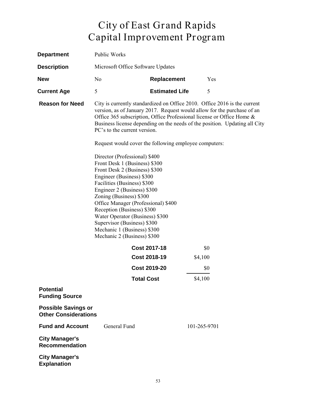| <b>Department</b>                                         | Public Works                                                                                                                                                                                                                                                                                                           |                                                                                                                                                                                                                                                                                                                                                                                                             |              |  |
|-----------------------------------------------------------|------------------------------------------------------------------------------------------------------------------------------------------------------------------------------------------------------------------------------------------------------------------------------------------------------------------------|-------------------------------------------------------------------------------------------------------------------------------------------------------------------------------------------------------------------------------------------------------------------------------------------------------------------------------------------------------------------------------------------------------------|--------------|--|
| <b>Description</b>                                        | Microsoft Office Software Updates                                                                                                                                                                                                                                                                                      |                                                                                                                                                                                                                                                                                                                                                                                                             |              |  |
| <b>New</b>                                                | N <sub>0</sub>                                                                                                                                                                                                                                                                                                         | Replacement                                                                                                                                                                                                                                                                                                                                                                                                 | Yes          |  |
| <b>Current Age</b>                                        | 5                                                                                                                                                                                                                                                                                                                      | <b>Estimated Life</b>                                                                                                                                                                                                                                                                                                                                                                                       | 5            |  |
| <b>Reason for Need</b>                                    | PC's to the current version.<br>Director (Professional) \$400<br>Front Desk 1 (Business) \$300<br>Front Desk 2 (Business) \$300<br>Engineer (Business) \$300<br>Facilities (Business) \$300<br>Engineer 2 (Business) \$300<br>Zoning (Business) \$300<br>Reception (Business) \$300<br>Water Operator (Business) \$300 | City is currently standardized on Office 2010. Office 2016 is the current<br>version, as of January 2017. Request would allow for the purchase of an<br>Office 365 subscription, Office Professional license or Office Home &<br>Business license depending on the needs of the position. Updating all City<br>Request would cover the following employee computers:<br>Office Manager (Professional) \$400 |              |  |
|                                                           | Supervisor (Business) \$300<br>Mechanic 1 (Business) \$300<br>Mechanic 2 (Business) \$300                                                                                                                                                                                                                              |                                                                                                                                                                                                                                                                                                                                                                                                             |              |  |
|                                                           |                                                                                                                                                                                                                                                                                                                        | <b>Cost 2017-18</b>                                                                                                                                                                                                                                                                                                                                                                                         | \$0          |  |
|                                                           |                                                                                                                                                                                                                                                                                                                        | <b>Cost 2018-19</b>                                                                                                                                                                                                                                                                                                                                                                                         | \$4,100      |  |
|                                                           |                                                                                                                                                                                                                                                                                                                        | <b>Cost 2019-20</b>                                                                                                                                                                                                                                                                                                                                                                                         | \$0          |  |
|                                                           |                                                                                                                                                                                                                                                                                                                        | <b>Total Cost</b>                                                                                                                                                                                                                                                                                                                                                                                           | \$4,100      |  |
| <b>Potential</b><br><b>Funding Source</b>                 |                                                                                                                                                                                                                                                                                                                        |                                                                                                                                                                                                                                                                                                                                                                                                             |              |  |
| <b>Possible Savings or</b><br><b>Other Considerations</b> |                                                                                                                                                                                                                                                                                                                        |                                                                                                                                                                                                                                                                                                                                                                                                             |              |  |
| <b>Fund and Account</b>                                   | General Fund                                                                                                                                                                                                                                                                                                           |                                                                                                                                                                                                                                                                                                                                                                                                             | 101-265-9701 |  |
| <b>City Manager's</b><br><b>Recommendation</b>            |                                                                                                                                                                                                                                                                                                                        |                                                                                                                                                                                                                                                                                                                                                                                                             |              |  |
| <b>City Manager's</b><br><b>Explanation</b>               |                                                                                                                                                                                                                                                                                                                        |                                                                                                                                                                                                                                                                                                                                                                                                             |              |  |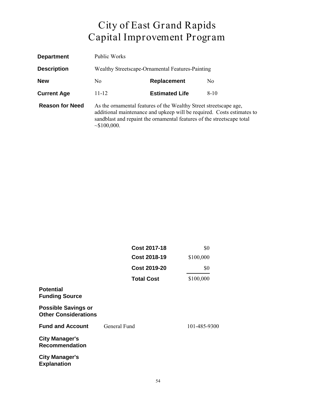| <b>Department</b>      | Public Works                                                                                                                                                                                                                               |                                                  |                |  |
|------------------------|--------------------------------------------------------------------------------------------------------------------------------------------------------------------------------------------------------------------------------------------|--------------------------------------------------|----------------|--|
| <b>Description</b>     |                                                                                                                                                                                                                                            | Wealthy Streetscape-Ornamental Features-Painting |                |  |
| <b>New</b>             | No.                                                                                                                                                                                                                                        | <b>Replacement</b>                               | N <sub>0</sub> |  |
| <b>Current Age</b>     | $11 - 12$                                                                                                                                                                                                                                  | <b>Estimated Life</b>                            | $8-10$         |  |
| <b>Reason for Need</b> | As the ornamental features of the Wealthy Street streetscape age,<br>additional maintenance and upkeep will be required. Costs estimates to<br>sandblast and repaint the ornamental features of the streetscape total<br>$\sim$ \$100,000. |                                                  |                |  |

|                                                           | <b>Cost 2017-18</b> | \$0          |
|-----------------------------------------------------------|---------------------|--------------|
|                                                           | <b>Cost 2018-19</b> | \$100,000    |
|                                                           | <b>Cost 2019-20</b> | \$0          |
|                                                           | <b>Total Cost</b>   | \$100,000    |
| <b>Potential</b><br><b>Funding Source</b>                 |                     |              |
| <b>Possible Savings or</b><br><b>Other Considerations</b> |                     |              |
| <b>Fund and Account</b>                                   | General Fund        | 101-485-9300 |
| <b>City Manager's</b><br><b>Recommendation</b>            |                     |              |
| <b>City Manager's</b><br><b>Explanation</b>               |                     |              |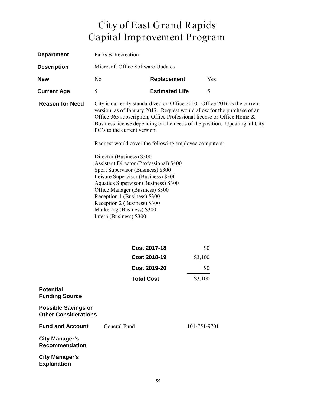| <b>Department</b>                                         | Parks & Recreation                                                                                                                                 |                                                                                                                                                                                                       |              |                                                                                                                                                                                                                                                                                                             |
|-----------------------------------------------------------|----------------------------------------------------------------------------------------------------------------------------------------------------|-------------------------------------------------------------------------------------------------------------------------------------------------------------------------------------------------------|--------------|-------------------------------------------------------------------------------------------------------------------------------------------------------------------------------------------------------------------------------------------------------------------------------------------------------------|
| <b>Description</b>                                        | Microsoft Office Software Updates                                                                                                                  |                                                                                                                                                                                                       |              |                                                                                                                                                                                                                                                                                                             |
| <b>New</b>                                                | No                                                                                                                                                 | <b>Replacement</b>                                                                                                                                                                                    |              | Yes                                                                                                                                                                                                                                                                                                         |
| <b>Current Age</b>                                        | 5                                                                                                                                                  | <b>Estimated Life</b>                                                                                                                                                                                 |              | 5                                                                                                                                                                                                                                                                                                           |
| <b>Reason for Need</b>                                    | PC's to the current version.                                                                                                                       |                                                                                                                                                                                                       |              | City is currently standardized on Office 2010. Office 2016 is the current<br>version, as of January 2017. Request would allow for the purchase of an<br>Office 365 subscription, Office Professional license or Office Home &<br>Business license depending on the needs of the position. Updating all City |
|                                                           | Request would cover the following employee computers:                                                                                              |                                                                                                                                                                                                       |              |                                                                                                                                                                                                                                                                                                             |
|                                                           | Director (Business) \$300<br>Reception 1 (Business) \$300<br>Reception 2 (Business) \$300<br>Marketing (Business) \$300<br>Intern (Business) \$300 | <b>Assistant Director (Professional) \$400</b><br>Sport Supervisor (Business) \$300<br>Leisure Supervisor (Business) \$300<br>Aquatics Supervisor (Business) \$300<br>Office Manager (Business) \$300 |              |                                                                                                                                                                                                                                                                                                             |
|                                                           |                                                                                                                                                    | <b>Cost 2017-18</b>                                                                                                                                                                                   |              | \$0                                                                                                                                                                                                                                                                                                         |
|                                                           |                                                                                                                                                    | <b>Cost 2018-19</b>                                                                                                                                                                                   | \$3,100      |                                                                                                                                                                                                                                                                                                             |
|                                                           |                                                                                                                                                    | <b>Cost 2019-20</b>                                                                                                                                                                                   |              | \$0                                                                                                                                                                                                                                                                                                         |
|                                                           |                                                                                                                                                    | <b>Total Cost</b>                                                                                                                                                                                     | \$3,100      |                                                                                                                                                                                                                                                                                                             |
| <b>Potential</b><br><b>Funding Source</b>                 |                                                                                                                                                    |                                                                                                                                                                                                       |              |                                                                                                                                                                                                                                                                                                             |
| <b>Possible Savings or</b><br><b>Other Considerations</b> |                                                                                                                                                    |                                                                                                                                                                                                       |              |                                                                                                                                                                                                                                                                                                             |
| <b>Fund and Account</b>                                   | General Fund                                                                                                                                       |                                                                                                                                                                                                       | 101-751-9701 |                                                                                                                                                                                                                                                                                                             |
| <b>City Manager's</b><br><b>Recommendation</b>            |                                                                                                                                                    |                                                                                                                                                                                                       |              |                                                                                                                                                                                                                                                                                                             |
| <b>City Manager's</b><br><b>Explanation</b>               |                                                                                                                                                    |                                                                                                                                                                                                       |              |                                                                                                                                                                                                                                                                                                             |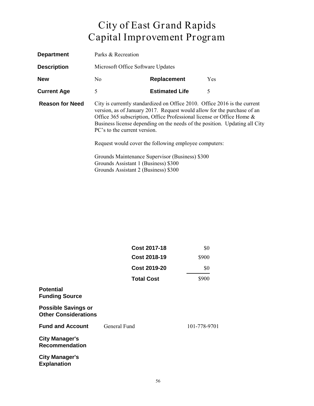| <b>Department</b>      | Parks & Recreation                                                                                                                                                                                                                                                                                                                          |                                                       |            |
|------------------------|---------------------------------------------------------------------------------------------------------------------------------------------------------------------------------------------------------------------------------------------------------------------------------------------------------------------------------------------|-------------------------------------------------------|------------|
| <b>Description</b>     | Microsoft Office Software Updates                                                                                                                                                                                                                                                                                                           |                                                       |            |
| <b>New</b>             | No.                                                                                                                                                                                                                                                                                                                                         | Replacement                                           | <b>Yes</b> |
| <b>Current Age</b>     | 5                                                                                                                                                                                                                                                                                                                                           | <b>Estimated Life</b>                                 | 5          |
| <b>Reason for Need</b> | City is currently standardized on Office 2010. Office 2016 is the current<br>version, as of January 2017. Request would allow for the purchase of an<br>Office 365 subscription, Office Professional license or Office Home &<br>Business license depending on the needs of the position. Updating all City<br>PC's to the current version. |                                                       |            |
|                        |                                                                                                                                                                                                                                                                                                                                             | Request would cover the following employee computers: |            |
|                        | Grounds Assistant 1 (Business) \$300<br>Grounds Assistant 2 (Business) \$300                                                                                                                                                                                                                                                                | Grounds Maintenance Supervisor (Business) \$300       |            |

|                                                           | <b>Cost 2017-18</b> | \$0          |
|-----------------------------------------------------------|---------------------|--------------|
|                                                           | <b>Cost 2018-19</b> | \$900        |
|                                                           | <b>Cost 2019-20</b> | \$0          |
|                                                           | <b>Total Cost</b>   | \$900        |
| <b>Potential</b><br><b>Funding Source</b>                 |                     |              |
| <b>Possible Savings or</b><br><b>Other Considerations</b> |                     |              |
| <b>Fund and Account</b>                                   | General Fund        | 101-778-9701 |
| <b>City Manager's</b><br><b>Recommendation</b>            |                     |              |
| <b>City Manager's</b><br><b>Explanation</b>               |                     |              |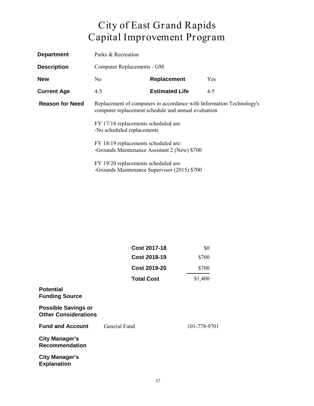| <b>Department</b>      | Parks & Recreation<br><b>Computer Replacements - GM</b>                                                                     |                                              |            |
|------------------------|-----------------------------------------------------------------------------------------------------------------------------|----------------------------------------------|------------|
| <b>Description</b>     |                                                                                                                             |                                              |            |
| <b>New</b>             | No.                                                                                                                         | <b>Replacement</b>                           | <b>Yes</b> |
| <b>Current Age</b>     | $4 - 5$                                                                                                                     | <b>Estimated Life</b>                        | $4 - 5$    |
| <b>Reason for Need</b> | Replacement of computers in accordance with Information Technology's<br>computer replacement schedule and annual evaluation |                                              |            |
|                        | FY 17/18 replacements scheduled are:<br>-No scheduled replacements                                                          |                                              |            |
|                        | FY 18/19 replacements scheduled are:<br>-Grounds Maintenance Assistant 2 (New) \$700                                        |                                              |            |
|                        | FY 19/20 replacements scheduled are:                                                                                        | -Grounds Maintenance Supervisor (2015) \$700 |            |

|                                                           | <b>Cost 2017-18</b> | \$0          |
|-----------------------------------------------------------|---------------------|--------------|
|                                                           | <b>Cost 2018-19</b> | \$700        |
|                                                           | <b>Cost 2019-20</b> | \$700        |
|                                                           | <b>Total Cost</b>   | \$1,400      |
| <b>Potential</b><br><b>Funding Source</b>                 |                     |              |
| <b>Possible Savings or</b><br><b>Other Considerations</b> |                     |              |
| <b>Fund and Account</b>                                   | General Fund        | 101-778-9701 |
| <b>City Manager's</b><br><b>Recommendation</b>            |                     |              |
| <b>City Manager's</b><br><b>Explanation</b>               |                     |              |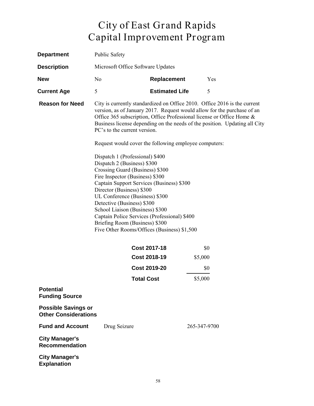| <b>Department</b>                                         | <b>Public Safety</b>                                                                                                                                                                                                                                                                                                                                                                                            |                       |              |     |
|-----------------------------------------------------------|-----------------------------------------------------------------------------------------------------------------------------------------------------------------------------------------------------------------------------------------------------------------------------------------------------------------------------------------------------------------------------------------------------------------|-----------------------|--------------|-----|
| <b>Description</b>                                        | Microsoft Office Software Updates                                                                                                                                                                                                                                                                                                                                                                               |                       |              |     |
| <b>New</b>                                                | N <sub>o</sub>                                                                                                                                                                                                                                                                                                                                                                                                  | Replacement           |              | Yes |
| <b>Current Age</b>                                        | 5                                                                                                                                                                                                                                                                                                                                                                                                               | <b>Estimated Life</b> |              | 5   |
| <b>Reason for Need</b>                                    | City is currently standardized on Office 2010. Office 2016 is the current<br>version, as of January 2017. Request would allow for the purchase of an<br>Office 365 subscription, Office Professional license or Office Home &<br>Business license depending on the needs of the position. Updating all City<br>PC's to the current version.<br>Request would cover the following employee computers:            |                       |              |     |
|                                                           | Dispatch 2 (Business) \$300<br>Crossing Guard (Business) \$300<br>Fire Inspector (Business) \$300<br>Captain Support Services (Business) \$300<br>Director (Business) \$300<br>UL Conference (Business) \$300<br>Detective (Business) \$300<br>School Liaison (Business) \$300<br>Captain Police Services (Professional) \$400<br>Briefing Room (Business) \$300<br>Five Other Rooms/Offices (Business) \$1,500 |                       |              |     |
|                                                           |                                                                                                                                                                                                                                                                                                                                                                                                                 | <b>Cost 2017-18</b>   |              | \$0 |
|                                                           |                                                                                                                                                                                                                                                                                                                                                                                                                 | <b>Cost 2018-19</b>   | \$5,000      |     |
|                                                           |                                                                                                                                                                                                                                                                                                                                                                                                                 | <b>Cost 2019-20</b>   |              | \$0 |
|                                                           |                                                                                                                                                                                                                                                                                                                                                                                                                 | Total Cost            | \$5,000      |     |
| <b>Potential</b><br><b>Funding Source</b>                 |                                                                                                                                                                                                                                                                                                                                                                                                                 |                       |              |     |
| <b>Possible Savings or</b><br><b>Other Considerations</b> |                                                                                                                                                                                                                                                                                                                                                                                                                 |                       |              |     |
| <b>Fund and Account</b>                                   | Drug Seizure                                                                                                                                                                                                                                                                                                                                                                                                    |                       | 265-347-9700 |     |
| <b>City Manager's</b><br><b>Recommendation</b>            |                                                                                                                                                                                                                                                                                                                                                                                                                 |                       |              |     |
| <b>City Manager's</b><br><b>Explanation</b>               |                                                                                                                                                                                                                                                                                                                                                                                                                 |                       |              |     |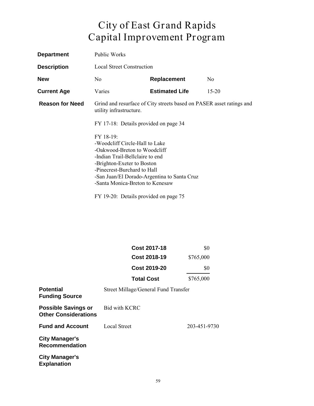| <b>Department</b>      | Public Works                                                                                                                                                                                                                                                                                                              |                       |                |
|------------------------|---------------------------------------------------------------------------------------------------------------------------------------------------------------------------------------------------------------------------------------------------------------------------------------------------------------------------|-----------------------|----------------|
| <b>Description</b>     | Local Street Construction                                                                                                                                                                                                                                                                                                 |                       |                |
| <b>New</b>             | No.                                                                                                                                                                                                                                                                                                                       | Replacement           | N <sub>0</sub> |
| <b>Current Age</b>     | Varies                                                                                                                                                                                                                                                                                                                    | <b>Estimated Life</b> | $15 - 20$      |
| <b>Reason for Need</b> | Grind and resurface of City streets based on PASER asset ratings and<br>utility infrastructure.<br>FY 17-18: Details provided on page 34<br>$FY$ 18-19:<br>-Woodcliff Circle-Hall to Lake<br>-Oakwood-Breton to Woodcliff<br>-Indian Trail-Bellclaire to end<br>-Brighton-Exeter to Boston<br>-Pinecrest-Burchard to Hall |                       |                |
|                        |                                                                                                                                                                                                                                                                                                                           |                       |                |
|                        |                                                                                                                                                                                                                                                                                                                           |                       |                |
|                        | -San Juan/El Dorado-Argentina to Santa Cruz<br>-Santa Monica-Breton to Kenesaw                                                                                                                                                                                                                                            |                       |                |

FY 19-20: Details provided on page 75

|                                                           | <b>Cost 2017-18</b>                  | \$0          |
|-----------------------------------------------------------|--------------------------------------|--------------|
|                                                           | Cost 2018-19                         | \$765,000    |
|                                                           | <b>Cost 2019-20</b>                  | \$0          |
|                                                           | <b>Total Cost</b>                    | \$765,000    |
| <b>Potential</b><br><b>Funding Source</b>                 | Street Millage/General Fund Transfer |              |
| <b>Possible Savings or</b><br><b>Other Considerations</b> | <b>Bid with KCRC</b>                 |              |
| <b>Fund and Account</b>                                   | <b>Local Street</b>                  | 203-451-9730 |
| <b>City Manager's</b><br><b>Recommendation</b>            |                                      |              |
| <b>City Manager's</b>                                     |                                      |              |

**Explanation**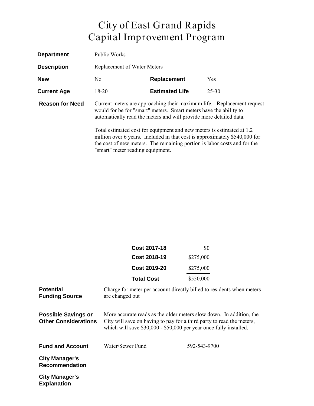| <b>Department</b>      | Public Works                                                                                                                                                                                                                                                                                                                                                             |                       |            |
|------------------------|--------------------------------------------------------------------------------------------------------------------------------------------------------------------------------------------------------------------------------------------------------------------------------------------------------------------------------------------------------------------------|-----------------------|------------|
| <b>Description</b>     | <b>Replacement of Water Meters</b>                                                                                                                                                                                                                                                                                                                                       |                       |            |
| <b>New</b>             | No.                                                                                                                                                                                                                                                                                                                                                                      | Replacement           | <b>Yes</b> |
| <b>Current Age</b>     | $18-20$                                                                                                                                                                                                                                                                                                                                                                  | <b>Estimated Life</b> | $25 - 30$  |
| <b>Reason for Need</b> | Current meters are approaching their maximum life. Replacement request<br>would for be for "smart" meters. Smart meters have the ability to<br>automatically read the meters and will provide more detailed data.<br>Total estimated cost for equipment and new meters is estimated at 1.2<br>million over 6 years. Included in that cost is approximately \$540,000 for |                       |            |
|                        | the cost of new meters. The remaining portion is labor costs and for the                                                                                                                                                                                                                                                                                                 |                       |            |

"smart" meter reading equipment.

|                                                           | <b>Cost 2017-18</b>                                                                                                                                                                                                | \$0          |  |
|-----------------------------------------------------------|--------------------------------------------------------------------------------------------------------------------------------------------------------------------------------------------------------------------|--------------|--|
|                                                           | <b>Cost 2018-19</b>                                                                                                                                                                                                | \$275,000    |  |
|                                                           | <b>Cost 2019-20</b>                                                                                                                                                                                                | \$275,000    |  |
|                                                           | <b>Total Cost</b>                                                                                                                                                                                                  | \$550,000    |  |
| <b>Potential</b><br><b>Funding Source</b>                 | Charge for meter per account directly billed to residents when meters<br>are changed out                                                                                                                           |              |  |
| <b>Possible Savings or</b><br><b>Other Considerations</b> | More accurate reads as the older meters slow down. In addition, the<br>City will save on having to pay for a third party to read the meters,<br>which will save \$30,000 - \$50,000 per year once fully installed. |              |  |
| <b>Fund and Account</b>                                   | Water/Sewer Fund                                                                                                                                                                                                   | 592-543-9700 |  |
| <b>City Manager's</b><br><b>Recommendation</b>            |                                                                                                                                                                                                                    |              |  |
| <b>City Manager's</b><br><b>Explanation</b>               |                                                                                                                                                                                                                    |              |  |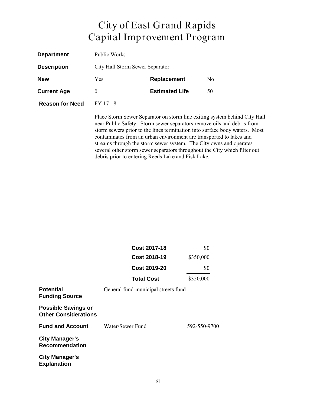| <b>Department</b>      | Public Works                                                                                                                                                                                                                                                                                                                                                                                                                                                |                       |    |  |
|------------------------|-------------------------------------------------------------------------------------------------------------------------------------------------------------------------------------------------------------------------------------------------------------------------------------------------------------------------------------------------------------------------------------------------------------------------------------------------------------|-----------------------|----|--|
| <b>Description</b>     | City Hall Storm Sewer Separator                                                                                                                                                                                                                                                                                                                                                                                                                             |                       |    |  |
| <b>New</b>             | <b>Replacement</b><br>Yes<br>N <sub>0</sub>                                                                                                                                                                                                                                                                                                                                                                                                                 |                       |    |  |
| <b>Current Age</b>     | $\theta$                                                                                                                                                                                                                                                                                                                                                                                                                                                    | <b>Estimated Life</b> | 50 |  |
| <b>Reason for Need</b> | FY 17-18:                                                                                                                                                                                                                                                                                                                                                                                                                                                   |                       |    |  |
|                        | Place Storm Sewer Separator on storm line exiting system behind City Hall<br>near Public Safety. Storm sewer separators remove oils and debris from<br>storm sewers prior to the lines termination into surface body waters. Most<br>contaminates from an urban environment are transported to lakes and<br>streams through the storm sewer system. The City owns and operates<br>several other storm sewer separators throughout the City which filter out |                       |    |  |

debris prior to entering Reeds Lake and Fisk Lake.

|                                                           | Cost 2017-18                        | \$0          |
|-----------------------------------------------------------|-------------------------------------|--------------|
|                                                           | <b>Cost 2018-19</b>                 | \$350,000    |
|                                                           | Cost 2019-20                        | \$0          |
|                                                           | <b>Total Cost</b>                   | \$350,000    |
| <b>Potential</b><br><b>Funding Source</b>                 | General fund-municipal streets fund |              |
| <b>Possible Savings or</b><br><b>Other Considerations</b> |                                     |              |
| <b>Fund and Account</b>                                   | Water/Sewer Fund                    | 592-550-9700 |
| <b>City Manager's</b><br><b>Recommendation</b>            |                                     |              |
| <b>City Manager's</b><br><b>Explanation</b>               |                                     |              |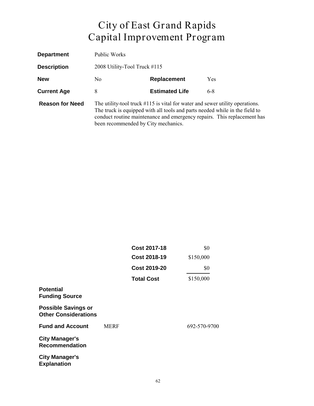| <b>Department</b>      | Public Works                                                                                                                                                                                                                                                                     |                       |            |
|------------------------|----------------------------------------------------------------------------------------------------------------------------------------------------------------------------------------------------------------------------------------------------------------------------------|-----------------------|------------|
| <b>Description</b>     | 2008 Utility-Tool Truck #115                                                                                                                                                                                                                                                     |                       |            |
| <b>New</b>             | No.                                                                                                                                                                                                                                                                              | Replacement           | <b>Yes</b> |
| <b>Current Age</b>     | 8                                                                                                                                                                                                                                                                                | <b>Estimated Life</b> | $6-8$      |
| <b>Reason for Need</b> | The utility-tool truck $\#115$ is vital for water and sewer utility operations.<br>The truck is equipped with all tools and parts needed while in the field to<br>conduct routine maintenance and emergency repairs. This replacement has<br>been recommended by City mechanics. |                       |            |

|                                                           |             | <b>Cost 2017-18</b> | \$0          |
|-----------------------------------------------------------|-------------|---------------------|--------------|
|                                                           |             | <b>Cost 2018-19</b> | \$150,000    |
|                                                           |             | <b>Cost 2019-20</b> | \$0          |
|                                                           |             | <b>Total Cost</b>   | \$150,000    |
| <b>Potential</b><br><b>Funding Source</b>                 |             |                     |              |
| <b>Possible Savings or</b><br><b>Other Considerations</b> |             |                     |              |
| <b>Fund and Account</b>                                   | <b>MERF</b> |                     | 692-570-9700 |
| <b>City Manager's</b><br><b>Recommendation</b>            |             |                     |              |
| <b>City Manager's</b><br><b>Explanation</b>               |             |                     |              |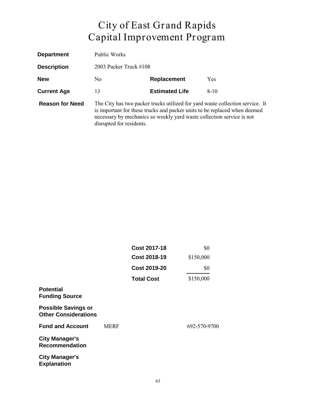| <b>Department</b>      | Public Works                                                                                                                                                                                                                                                    |                           |          |  |
|------------------------|-----------------------------------------------------------------------------------------------------------------------------------------------------------------------------------------------------------------------------------------------------------------|---------------------------|----------|--|
| <b>Description</b>     |                                                                                                                                                                                                                                                                 | 2003 Packer Truck $\#108$ |          |  |
| <b>New</b>             | <b>Replacement</b><br>No.<br><b>Yes</b>                                                                                                                                                                                                                         |                           |          |  |
| <b>Current Age</b>     | 13                                                                                                                                                                                                                                                              | <b>Estimated Life</b>     | $8 - 10$ |  |
| <b>Reason for Need</b> | The City has two packer trucks utilized for yard waste collection service. It<br>is important for these trucks and packer units to be replaced when deemed<br>necessary by mechanics so weekly yard waste collection service is not<br>disrupted for residents. |                           |          |  |

|                                                           |             | <b>Cost 2017-18</b><br><b>Cost 2018-19</b><br><b>Cost 2019-20</b><br><b>Total Cost</b> | \$0<br>\$150,000<br>\$0<br>\$150,000 |
|-----------------------------------------------------------|-------------|----------------------------------------------------------------------------------------|--------------------------------------|
|                                                           |             |                                                                                        |                                      |
|                                                           |             |                                                                                        |                                      |
|                                                           |             |                                                                                        |                                      |
| <b>Potential</b><br><b>Funding Source</b>                 |             |                                                                                        |                                      |
| <b>Possible Savings or</b><br><b>Other Considerations</b> |             |                                                                                        |                                      |
| <b>Fund and Account</b>                                   | <b>MERF</b> |                                                                                        | 692-570-9700                         |
| <b>City Manager's</b><br><b>Recommendation</b>            |             |                                                                                        |                                      |
| <b>City Manager's</b><br><b>Explanation</b>               |             |                                                                                        |                                      |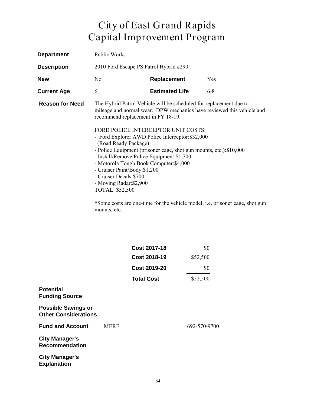| <b>Department</b>      | Public Works                                                                                                                                                                                                                                                                  |                                                                                                                                                                                                                                      |                                                                                                                                                       |
|------------------------|-------------------------------------------------------------------------------------------------------------------------------------------------------------------------------------------------------------------------------------------------------------------------------|--------------------------------------------------------------------------------------------------------------------------------------------------------------------------------------------------------------------------------------|-------------------------------------------------------------------------------------------------------------------------------------------------------|
| <b>Description</b>     | 2010 Ford Escape PS Patrol Hybrid #290                                                                                                                                                                                                                                        |                                                                                                                                                                                                                                      |                                                                                                                                                       |
| <b>New</b>             | $\rm No$                                                                                                                                                                                                                                                                      | <b>Replacement</b>                                                                                                                                                                                                                   | Yes                                                                                                                                                   |
| <b>Current Age</b>     | 6                                                                                                                                                                                                                                                                             | <b>Estimated Life</b>                                                                                                                                                                                                                | $6 - 8$                                                                                                                                               |
| <b>Reason for Need</b> | recommend replacement in FY 18-19.<br>(Road Ready Package)<br>- Install/Remove Police Equipment: \$1,700<br>- Motorola Tough Book Computer: \$4,000<br>- Cruiser Paint/Body: \$1,200<br>- Cruiser Decals: \$700<br>- Moving Radar: \$2,900<br>TOTAL: \$52,500<br>mounts, etc. | The Hybrid Patrol Vehicle will be scheduled for replacement due to<br>FORD POLICE INTERCEPTOR UNIT COSTS:<br>- Ford Explorer AWD Police Interceptor: \$32,000<br>- Police Equipment (prisoner cage, shot gun mounts, etc.): \$10,000 | mileage and normal wear. DPW mechanics have reviewed this vehicle and<br>*Some costs are one-time for the vehicle model, i.e. prisoner cage, shot gun |

|             |                     | \$0                 |
|-------------|---------------------|---------------------|
|             | <b>Cost 2018-19</b> | \$52,500            |
|             | <b>Cost 2019-20</b> | \$0                 |
|             | <b>Total Cost</b>   | \$52,500            |
|             |                     |                     |
|             |                     |                     |
| <b>MERF</b> |                     | 692-570-9700        |
|             |                     |                     |
|             |                     |                     |
|             |                     | <b>Cost 2017-18</b> |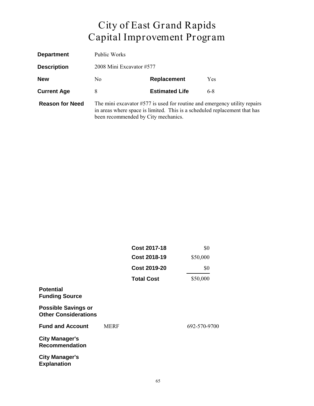| <b>Department</b>      | Public Works                                                                                                                                                                                    |                       |     |
|------------------------|-------------------------------------------------------------------------------------------------------------------------------------------------------------------------------------------------|-----------------------|-----|
| <b>Description</b>     | 2008 Mini Excavator #577                                                                                                                                                                        |                       |     |
| <b>New</b>             | No.                                                                                                                                                                                             | Replacement           | Yes |
| <b>Current Age</b>     | 8                                                                                                                                                                                               | <b>Estimated Life</b> | 6-8 |
| <b>Reason for Need</b> | The mini excavator $#577$ is used for routine and emergency utility repairs<br>in areas where space is limited. This is a scheduled replacement that has<br>been recommended by City mechanics. |                       |     |

|                                                           |             | <b>Cost 2017-18</b><br><b>Cost 2018-19</b><br><b>Cost 2019-20</b> | \$0<br>\$50,000<br>\$0 |
|-----------------------------------------------------------|-------------|-------------------------------------------------------------------|------------------------|
|                                                           |             |                                                                   |                        |
|                                                           |             |                                                                   |                        |
|                                                           |             | <b>Total Cost</b>                                                 | \$50,000               |
| <b>Potential</b><br><b>Funding Source</b>                 |             |                                                                   |                        |
| <b>Possible Savings or</b><br><b>Other Considerations</b> |             |                                                                   |                        |
| <b>Fund and Account</b>                                   | <b>MERF</b> |                                                                   | 692-570-9700           |
| <b>City Manager's</b><br><b>Recommendation</b>            |             |                                                                   |                        |
| <b>City Manager's</b><br><b>Explanation</b>               |             |                                                                   |                        |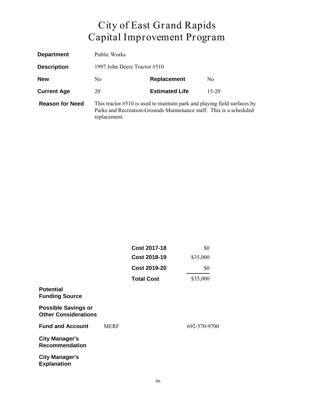| <b>Department</b>      | Public Works                                                                                                                                                    |                       |           |
|------------------------|-----------------------------------------------------------------------------------------------------------------------------------------------------------------|-----------------------|-----------|
| <b>Description</b>     | 1997 John Deere Tractor #510                                                                                                                                    |                       |           |
| <b>New</b>             | No.                                                                                                                                                             | Replacement           | No.       |
| <b>Current Age</b>     | 20                                                                                                                                                              | <b>Estimated Life</b> | $15 - 20$ |
| <b>Reason for Need</b> | This tractor #510 is used to maintain park and playing field surfaces by<br>Parks and Recreation-Grounds Maintenance staff. This is a scheduled<br>replacement. |                       |           |

|                                                           |             | Cost 2017-18                               | \$0             |
|-----------------------------------------------------------|-------------|--------------------------------------------|-----------------|
|                                                           |             | <b>Cost 2018-19</b><br><b>Cost 2019-20</b> | \$35,000<br>\$0 |
|                                                           |             |                                            |                 |
|                                                           |             | <b>Total Cost</b>                          | \$35,000        |
| <b>Potential</b><br><b>Funding Source</b>                 |             |                                            |                 |
| <b>Possible Savings or</b><br><b>Other Considerations</b> |             |                                            |                 |
| <b>Fund and Account</b>                                   | <b>MERF</b> |                                            | 692-570-9700    |
| <b>City Manager's</b><br><b>Recommendation</b>            |             |                                            |                 |
| <b>City Manager's</b><br><b>Explanation</b>               |             |                                            |                 |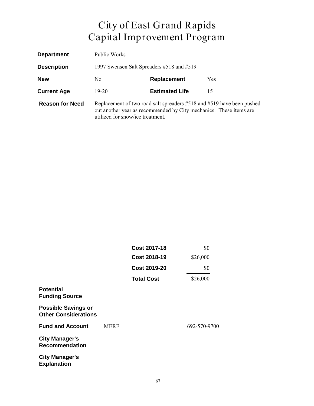| <b>Department</b>      | Public Works                                                                                                                                                                    |                       |            |
|------------------------|---------------------------------------------------------------------------------------------------------------------------------------------------------------------------------|-----------------------|------------|
| <b>Description</b>     | 1997 Swensen Salt Spreaders #518 and #519                                                                                                                                       |                       |            |
| <b>New</b>             | N <sub>0</sub>                                                                                                                                                                  | Replacement           | <b>Yes</b> |
| <b>Current Age</b>     | 19-20                                                                                                                                                                           | <b>Estimated Life</b> | 15         |
| <b>Reason for Need</b> | Replacement of two road salt spreaders #518 and #519 have been pushed<br>out another year as recommended by City mechanics. These items are<br>utilized for snow/ice treatment. |                       |            |

|                                                           |             | Cost 2017-18        | \$0          |
|-----------------------------------------------------------|-------------|---------------------|--------------|
|                                                           |             | <b>Cost 2018-19</b> | \$26,000     |
|                                                           |             | <b>Cost 2019-20</b> | \$0          |
|                                                           |             | <b>Total Cost</b>   | \$26,000     |
| <b>Potential</b><br><b>Funding Source</b>                 |             |                     |              |
| <b>Possible Savings or</b><br><b>Other Considerations</b> |             |                     |              |
| <b>Fund and Account</b>                                   | <b>MERF</b> |                     | 692-570-9700 |
| <b>City Manager's</b><br><b>Recommendation</b>            |             |                     |              |
| <b>City Manager's</b><br><b>Explanation</b>               |             |                     |              |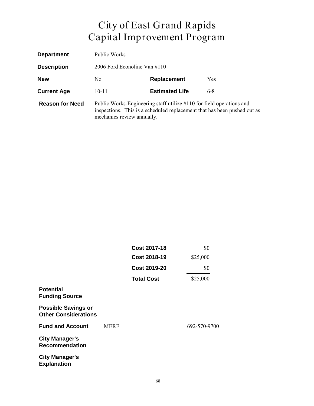| <b>Department</b>      | Public Works                                                                                                                                                                   |                       |            |
|------------------------|--------------------------------------------------------------------------------------------------------------------------------------------------------------------------------|-----------------------|------------|
| <b>Description</b>     | 2006 Ford Econoline Van $\#110$                                                                                                                                                |                       |            |
| <b>New</b>             | N <sub>0</sub>                                                                                                                                                                 | Replacement           | <b>Yes</b> |
| <b>Current Age</b>     | $10 - 11$                                                                                                                                                                      | <b>Estimated Life</b> | $6-8$      |
| <b>Reason for Need</b> | Public Works-Engineering staff utilize #110 for field operations and<br>inspections. This is a scheduled replacement that has been pushed out as<br>mechanics review annually. |                       |            |

|                                                           |             | <b>Cost 2017-18</b> | \$0<br>\$25,000 |
|-----------------------------------------------------------|-------------|---------------------|-----------------|
|                                                           |             | <b>Cost 2018-19</b> |                 |
|                                                           |             | <b>Cost 2019-20</b> | \$0             |
|                                                           |             | <b>Total Cost</b>   | \$25,000        |
| <b>Potential</b><br><b>Funding Source</b>                 |             |                     |                 |
| <b>Possible Savings or</b><br><b>Other Considerations</b> |             |                     |                 |
| <b>Fund and Account</b>                                   | <b>MERF</b> |                     | 692-570-9700    |
| <b>City Manager's</b><br><b>Recommendation</b>            |             |                     |                 |
| <b>City Manager's</b><br><b>Explanation</b>               |             |                     |                 |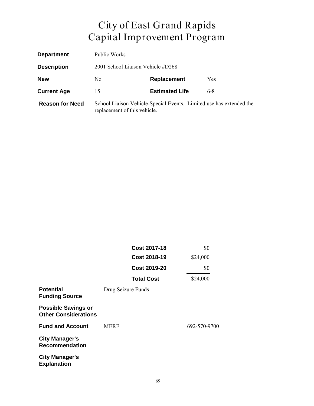| <b>Department</b>      | <b>Public Works</b>                                                                                 |                       |         |
|------------------------|-----------------------------------------------------------------------------------------------------|-----------------------|---------|
| <b>Description</b>     | 2001 School Liaison Vehicle #D268                                                                   |                       |         |
| <b>New</b>             | N <sub>0</sub>                                                                                      | Replacement           | Yes     |
| <b>Current Age</b>     | 15                                                                                                  | <b>Estimated Life</b> | $6 - 8$ |
| <b>Reason for Need</b> | School Liaison Vehicle-Special Events. Limited use has extended the<br>replacement of this vehicle. |                       |         |

|                                                           | Cost 2017-18        | \$0          |
|-----------------------------------------------------------|---------------------|--------------|
|                                                           | <b>Cost 2018-19</b> | \$24,000     |
|                                                           | <b>Cost 2019-20</b> | \$0          |
|                                                           | <b>Total Cost</b>   | \$24,000     |
| <b>Potential</b><br><b>Funding Source</b>                 | Drug Seizure Funds  |              |
| <b>Possible Savings or</b><br><b>Other Considerations</b> |                     |              |
| <b>Fund and Account</b>                                   | <b>MERF</b>         | 692-570-9700 |
| <b>City Manager's</b><br><b>Recommendation</b>            |                     |              |
| <b>City Manager's</b><br><b>Explanation</b>               |                     |              |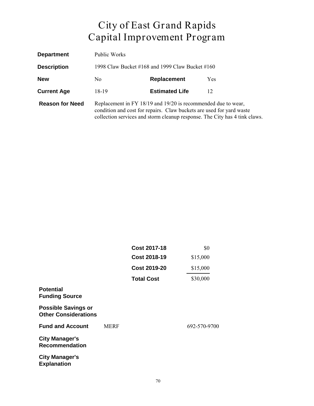| <b>Department</b>      | Public Works                                                                                                                                                                                                        |                       |            |
|------------------------|---------------------------------------------------------------------------------------------------------------------------------------------------------------------------------------------------------------------|-----------------------|------------|
| <b>Description</b>     | 1998 Claw Bucket #168 and 1999 Claw Bucket #160                                                                                                                                                                     |                       |            |
| <b>New</b>             | No.                                                                                                                                                                                                                 | Replacement           | <b>Yes</b> |
| <b>Current Age</b>     | 18-19                                                                                                                                                                                                               | <b>Estimated Life</b> | 12         |
| <b>Reason for Need</b> | Replacement in FY 18/19 and 19/20 is recommended due to wear,<br>condition and cost for repairs. Claw buckets are used for yard waste<br>collection services and storm cleanup response. The City has 4 tink claws. |                       |            |

|                                                           |             | <b>Cost 2017-18</b> | \$0<br>\$15,000 |
|-----------------------------------------------------------|-------------|---------------------|-----------------|
|                                                           |             | <b>Cost 2018-19</b> |                 |
|                                                           |             | <b>Cost 2019-20</b> | \$15,000        |
|                                                           |             | <b>Total Cost</b>   | \$30,000        |
| <b>Potential</b><br><b>Funding Source</b>                 |             |                     |                 |
| <b>Possible Savings or</b><br><b>Other Considerations</b> |             |                     |                 |
| <b>Fund and Account</b>                                   | <b>MERF</b> |                     | 692-570-9700    |
| <b>City Manager's</b><br><b>Recommendation</b>            |             |                     |                 |
| <b>City Manager's</b><br><b>Explanation</b>               |             |                     |                 |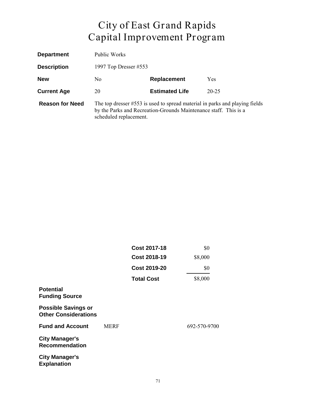| <b>Department</b>      | Public Works                                                                                                                                                              |                       |           |
|------------------------|---------------------------------------------------------------------------------------------------------------------------------------------------------------------------|-----------------------|-----------|
| <b>Description</b>     | 1997 Top Dresser #553                                                                                                                                                     |                       |           |
| <b>New</b>             | No.                                                                                                                                                                       | Replacement           | Yes       |
| <b>Current Age</b>     | 20                                                                                                                                                                        | <b>Estimated Life</b> | $20 - 25$ |
| <b>Reason for Need</b> | The top dresser #553 is used to spread material in parks and playing fields<br>by the Parks and Recreation-Grounds Maintenance staff. This is a<br>scheduled replacement. |                       |           |

|                                                           |             | <b>Cost 2017-18</b> | \$0          |
|-----------------------------------------------------------|-------------|---------------------|--------------|
|                                                           |             | <b>Cost 2018-19</b> | \$8,000      |
|                                                           |             | <b>Cost 2019-20</b> | \$0          |
|                                                           |             | <b>Total Cost</b>   | \$8,000      |
| <b>Potential</b><br><b>Funding Source</b>                 |             |                     |              |
| <b>Possible Savings or</b><br><b>Other Considerations</b> |             |                     |              |
| <b>Fund and Account</b>                                   | <b>MERF</b> |                     | 692-570-9700 |
| <b>City Manager's</b><br><b>Recommendation</b>            |             |                     |              |
| <b>City Manager's</b><br><b>Explanation</b>               |             |                     |              |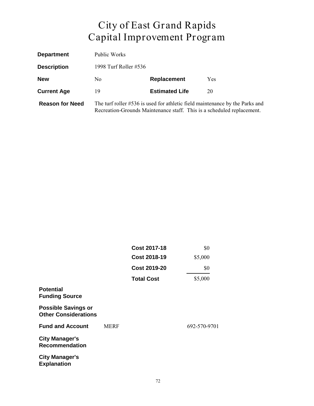| <b>Department</b>      | Public Works          |                       |                                                                                                                                                        |
|------------------------|-----------------------|-----------------------|--------------------------------------------------------------------------------------------------------------------------------------------------------|
| <b>Description</b>     | 1998 Turf Roller #536 |                       |                                                                                                                                                        |
| <b>New</b>             | No.                   | Replacement           | Yes                                                                                                                                                    |
| <b>Current Age</b>     | 19                    | <b>Estimated Life</b> | 20                                                                                                                                                     |
| <b>Reason for Need</b> |                       |                       | The turf roller #536 is used for athletic field maintenance by the Parks and<br>Recreation-Grounds Maintenance staff. This is a scheduled replacement. |

|                                                           |             | Cost 2017-18<br><b>Cost 2018-19</b> | \$0<br>\$5,000 |
|-----------------------------------------------------------|-------------|-------------------------------------|----------------|
|                                                           |             |                                     |                |
|                                                           |             | <b>Cost 2019-20</b>                 | \$0            |
|                                                           |             | <b>Total Cost</b>                   | \$5,000        |
| <b>Potential</b><br><b>Funding Source</b>                 |             |                                     |                |
| <b>Possible Savings or</b><br><b>Other Considerations</b> |             |                                     |                |
| <b>Fund and Account</b>                                   | <b>MERF</b> |                                     | 692-570-9701   |
| <b>City Manager's</b><br><b>Recommendation</b>            |             |                                     |                |
| <b>City Manager's</b><br><b>Explanation</b>               |             |                                     |                |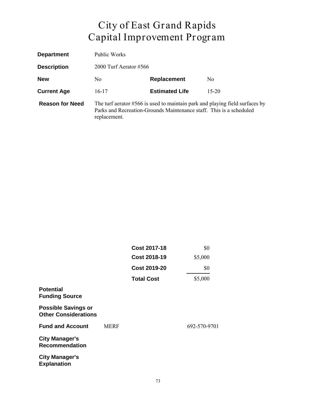| <b>Department</b>      | Public Works                                                                                                                                                          |                       |                |
|------------------------|-----------------------------------------------------------------------------------------------------------------------------------------------------------------------|-----------------------|----------------|
| <b>Description</b>     | 2000 Turf Aerator #566                                                                                                                                                |                       |                |
| <b>New</b>             | No.                                                                                                                                                                   | Replacement           | N <sub>0</sub> |
| <b>Current Age</b>     | 16-17                                                                                                                                                                 | <b>Estimated Life</b> | $15 - 20$      |
| <b>Reason for Need</b> | The turf aerator $#566$ is used to maintain park and playing field surfaces by<br>Parks and Recreation-Grounds Maintenance staff. This is a scheduled<br>replacement. |                       |                |

|                                                           |             | Cost 2017-18                               | \$0          |
|-----------------------------------------------------------|-------------|--------------------------------------------|--------------|
|                                                           |             | <b>Cost 2018-19</b><br><b>Cost 2019-20</b> | \$5,000      |
|                                                           |             |                                            | \$0          |
|                                                           |             | <b>Total Cost</b>                          | \$5,000      |
| <b>Potential</b><br><b>Funding Source</b>                 |             |                                            |              |
| <b>Possible Savings or</b><br><b>Other Considerations</b> |             |                                            |              |
| <b>Fund and Account</b>                                   | <b>MERF</b> |                                            | 692-570-9701 |
| <b>City Manager's</b><br><b>Recommendation</b>            |             |                                            |              |
| <b>City Manager's</b><br><b>Explanation</b>               |             |                                            |              |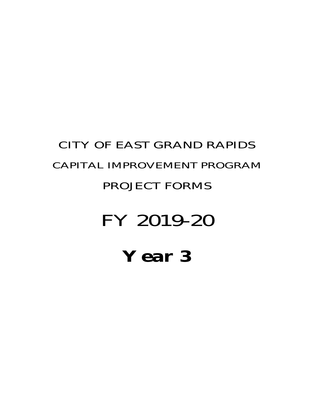## **Year 3**

# FY 2019-20

#### PROJECT FORMS

## CAPITAL IMPROVEMENT PROGRAM

CITY OF EAST GRAND RAPIDS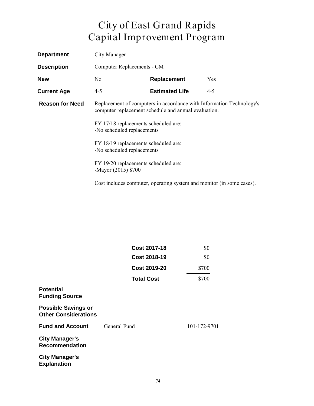| <b>Department</b>      | City Manager                                                                                                                 |                                                                       |         |
|------------------------|------------------------------------------------------------------------------------------------------------------------------|-----------------------------------------------------------------------|---------|
| <b>Description</b>     | Computer Replacements - CM                                                                                                   |                                                                       |         |
| <b>New</b>             | N <sub>0</sub>                                                                                                               | Replacement                                                           | Yes     |
| <b>Current Age</b>     | $4 - 5$                                                                                                                      | <b>Estimated Life</b>                                                 | $4 - 5$ |
| <b>Reason for Need</b> | Replacement of computers in accordance with Information Technology's<br>computer replacement schedule and annual evaluation. |                                                                       |         |
|                        | FY 17/18 replacements scheduled are:<br>-No scheduled replacements                                                           |                                                                       |         |
|                        | FY 18/19 replacements scheduled are:<br>-No scheduled replacements                                                           |                                                                       |         |
|                        | FY 19/20 replacements scheduled are:<br>-Mayor (2015) \$700                                                                  |                                                                       |         |
|                        |                                                                                                                              | Cost includes computer, operating system and monitor (in some cases). |         |

|                                                           | <b>Cost 2017-18</b> | \$0          |
|-----------------------------------------------------------|---------------------|--------------|
|                                                           | <b>Cost 2018-19</b> | \$0          |
|                                                           | <b>Cost 2019-20</b> | \$700        |
|                                                           | <b>Total Cost</b>   | \$700        |
| <b>Potential</b><br><b>Funding Source</b>                 |                     |              |
| <b>Possible Savings or</b><br><b>Other Considerations</b> |                     |              |
| <b>Fund and Account</b>                                   | General Fund        | 101-172-9701 |
| <b>City Manager's</b><br><b>Recommendation</b>            |                     |              |
| <b>City Manager's</b><br><b>Explanation</b>               |                     |              |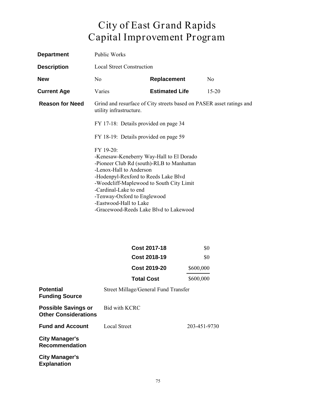| <b>Department</b>      | Public Works                                                                                                                                                                                                                                                                                                                                  |                       |                |
|------------------------|-----------------------------------------------------------------------------------------------------------------------------------------------------------------------------------------------------------------------------------------------------------------------------------------------------------------------------------------------|-----------------------|----------------|
| <b>Description</b>     | <b>Local Street Construction</b>                                                                                                                                                                                                                                                                                                              |                       |                |
| <b>New</b>             | N <sub>0</sub>                                                                                                                                                                                                                                                                                                                                | <b>Replacement</b>    | N <sub>0</sub> |
| <b>Current Age</b>     | Varies                                                                                                                                                                                                                                                                                                                                        | <b>Estimated Life</b> | $15 - 20$      |
| <b>Reason for Need</b> | Grind and resurface of City streets based on PASER asset ratings and<br>utility infrastructure.                                                                                                                                                                                                                                               |                       |                |
|                        | FY 17-18: Details provided on page 34                                                                                                                                                                                                                                                                                                         |                       |                |
|                        | FY 18-19: Details provided on page 59                                                                                                                                                                                                                                                                                                         |                       |                |
|                        | FY 19-20:<br>-Kenesaw-Keneberry Way-Hall to El Dorado<br>-Pioneer Club Rd (south)-RLB to Manhattan<br>-Lenox-Hall to Anderson<br>-Hodenpyl-Rexford to Reeds Lake Blvd<br>-Woodcliff-Maplewood to South City Limit<br>-Cardinal-Lake to end<br>-Tenway-Oxford to Englewood<br>-Eastwood-Hall to Lake<br>-Gracewood-Reeds Lake Blvd to Lakewood |                       |                |

| <b>Cost 2017-18</b> | \$0       |
|---------------------|-----------|
| <b>Cost 2018-19</b> | \$0       |
| <b>Cost 2019-20</b> | \$600,000 |
| <b>Total Cost</b>   | \$600,000 |

| <b>Potential</b><br><b>Funding Source</b>                 | Street Millage/General Fund Transfer |              |
|-----------------------------------------------------------|--------------------------------------|--------------|
| <b>Possible Savings or</b><br><b>Other Considerations</b> | Bid with KCRC                        |              |
| <b>Fund and Account</b>                                   | Local Street                         | 203-451-9730 |
| <b>City Manager's</b><br><b>Recommendation</b>            |                                      |              |
| <b>City Manager's</b><br><b>Explanation</b>               |                                      |              |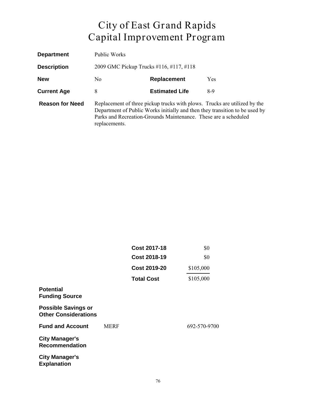| <b>Department</b>      | Public Works                                                                                                                                                                                                                                 |                                         |     |  |
|------------------------|----------------------------------------------------------------------------------------------------------------------------------------------------------------------------------------------------------------------------------------------|-----------------------------------------|-----|--|
| <b>Description</b>     |                                                                                                                                                                                                                                              | 2009 GMC Pickup Trucks #116, #117, #118 |     |  |
| <b>New</b>             | Replacement<br>N <sub>0</sub><br><b>Yes</b>                                                                                                                                                                                                  |                                         |     |  |
| <b>Current Age</b>     | 8                                                                                                                                                                                                                                            | <b>Estimated Life</b>                   | 8-9 |  |
| <b>Reason for Need</b> | Replacement of three pickup trucks with plows. Trucks are utilized by the<br>Department of Public Works initially and then they transition to be used by<br>Parks and Recreation-Grounds Maintenance. These are a scheduled<br>replacements. |                                         |     |  |

|                                                           |             | <b>Cost 2017-18</b><br><b>Cost 2018-19</b><br><b>Cost 2019-20</b> | \$0          |
|-----------------------------------------------------------|-------------|-------------------------------------------------------------------|--------------|
|                                                           |             |                                                                   | \$0          |
|                                                           |             |                                                                   | \$105,000    |
|                                                           |             | <b>Total Cost</b>                                                 | \$105,000    |
| <b>Potential</b><br><b>Funding Source</b>                 |             |                                                                   |              |
| <b>Possible Savings or</b><br><b>Other Considerations</b> |             |                                                                   |              |
| <b>Fund and Account</b>                                   | <b>MERF</b> |                                                                   | 692-570-9700 |
| <b>City Manager's</b><br><b>Recommendation</b>            |             |                                                                   |              |
| <b>City Manager's</b><br><b>Explanation</b>               |             |                                                                   |              |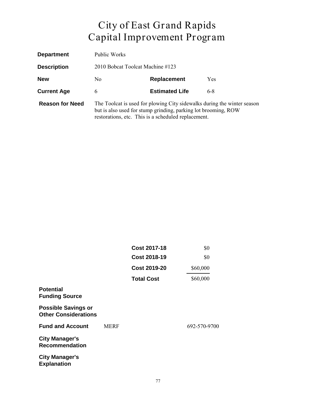| <b>Department</b>      | Public Works                                                                                                                                                                                     |                       |     |  |
|------------------------|--------------------------------------------------------------------------------------------------------------------------------------------------------------------------------------------------|-----------------------|-----|--|
| <b>Description</b>     | 2010 Bobcat Toolcat Machine #123                                                                                                                                                                 |                       |     |  |
| <b>New</b>             | Replacement<br><b>Yes</b><br>N <sub>0</sub>                                                                                                                                                      |                       |     |  |
| <b>Current Age</b>     | 6                                                                                                                                                                                                | <b>Estimated Life</b> | 6-8 |  |
| <b>Reason for Need</b> | The Toolcat is used for plowing City sidewalks during the winter season<br>but is also used for stump grinding, parking lot brooming, ROW<br>restorations, etc. This is a scheduled replacement. |                       |     |  |

|                                                           |             | <b>Cost 2017-18</b><br><b>Cost 2018-19</b><br><b>Cost 2019-20</b> | \$0<br>\$0   |
|-----------------------------------------------------------|-------------|-------------------------------------------------------------------|--------------|
|                                                           |             |                                                                   |              |
|                                                           |             |                                                                   | \$60,000     |
|                                                           |             | <b>Total Cost</b>                                                 | \$60,000     |
| <b>Potential</b><br><b>Funding Source</b>                 |             |                                                                   |              |
| <b>Possible Savings or</b><br><b>Other Considerations</b> |             |                                                                   |              |
| <b>Fund and Account</b>                                   | <b>MERF</b> |                                                                   | 692-570-9700 |
| <b>City Manager's</b><br><b>Recommendation</b>            |             |                                                                   |              |
| <b>City Manager's</b><br><b>Explanation</b>               |             |                                                                   |              |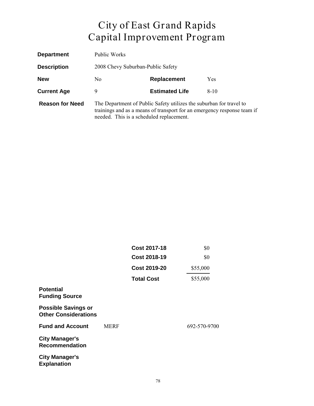| <b>Department</b>      | Public Works                                                                                                                                                                               |                                   |            |  |
|------------------------|--------------------------------------------------------------------------------------------------------------------------------------------------------------------------------------------|-----------------------------------|------------|--|
| <b>Description</b>     |                                                                                                                                                                                            | 2008 Chevy Suburban-Public Safety |            |  |
| <b>New</b>             | N <sub>0</sub>                                                                                                                                                                             | <b>Replacement</b>                | <b>Yes</b> |  |
| <b>Current Age</b>     | 9                                                                                                                                                                                          | <b>Estimated Life</b>             | $8-10$     |  |
| <b>Reason for Need</b> | The Department of Public Safety utilizes the suburban for travel to<br>trainings and as a means of transport for an emergency response team if<br>needed. This is a scheduled replacement. |                                   |            |  |

|                                                           |             | <b>Cost 2017-18</b><br><b>Cost 2018-19</b><br><b>Cost 2019-20</b> | \$0<br>\$0<br>\$55,000 |
|-----------------------------------------------------------|-------------|-------------------------------------------------------------------|------------------------|
|                                                           |             |                                                                   |                        |
|                                                           |             |                                                                   |                        |
|                                                           |             | <b>Total Cost</b>                                                 | \$55,000               |
| <b>Potential</b><br><b>Funding Source</b>                 |             |                                                                   |                        |
| <b>Possible Savings or</b><br><b>Other Considerations</b> |             |                                                                   |                        |
| <b>Fund and Account</b>                                   | <b>MERF</b> |                                                                   | 692-570-9700           |
| <b>City Manager's</b><br><b>Recommendation</b>            |             |                                                                   |                        |
| <b>City Manager's</b><br><b>Explanation</b>               |             |                                                                   |                        |